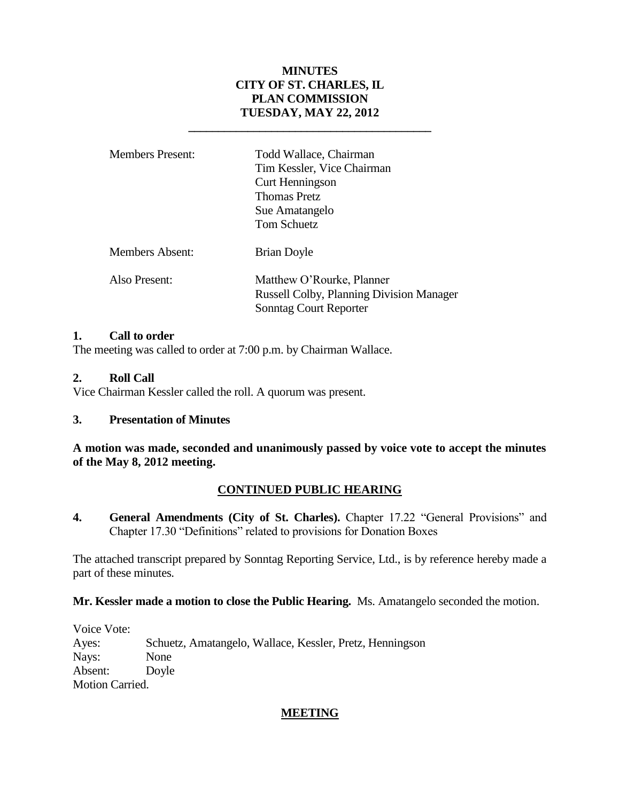## **MINUTES CITY OF ST. CHARLES, IL PLAN COMMISSION TUESDAY, MAY 22, 2012**

**\_\_\_\_\_\_\_\_\_\_\_\_\_\_\_\_\_\_\_\_\_\_\_\_\_\_\_\_\_\_\_\_\_\_\_\_\_\_\_\_\_**

| <b>Members Present:</b> | Todd Wallace, Chairman<br>Tim Kessler, Vice Chairman<br>Curt Henningson<br><b>Thomas Pretz</b><br>Sue Amatangelo<br>Tom Schuetz |
|-------------------------|---------------------------------------------------------------------------------------------------------------------------------|
| <b>Members Absent:</b>  | <b>Brian Doyle</b>                                                                                                              |
| Also Present:           | Matthew O'Rourke, Planner<br><b>Russell Colby, Planning Division Manager</b><br><b>Sonntag Court Reporter</b>                   |

### **1. Call to order**

The meeting was called to order at 7:00 p.m. by Chairman Wallace.

### **2. Roll Call**

Vice Chairman Kessler called the roll. A quorum was present.

## **3. Presentation of Minutes**

**A motion was made, seconded and unanimously passed by voice vote to accept the minutes of the May 8, 2012 meeting.**

## **CONTINUED PUBLIC HEARING**

**4. General Amendments (City of St. Charles).** Chapter 17.22 "General Provisions" and Chapter 17.30 "Definitions" related to provisions for Donation Boxes

The attached transcript prepared by Sonntag Reporting Service, Ltd., is by reference hereby made a part of these minutes.

#### **Mr. Kessler made a motion to close the Public Hearing.** Ms. Amatangelo seconded the motion.

Voice Vote: Ayes: Schuetz, Amatangelo, Wallace, Kessler, Pretz, Henningson Nays: None Absent: Doyle Motion Carried.

## **MEETING**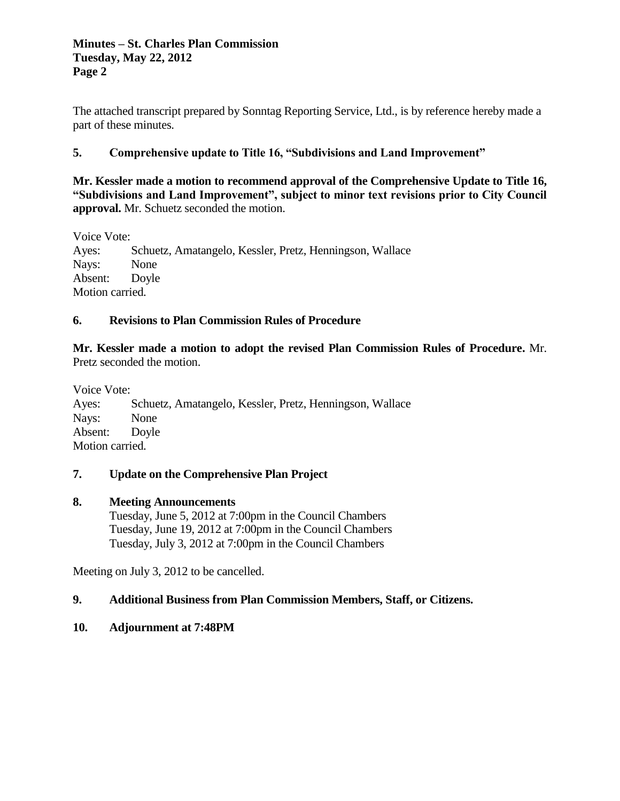### **Minutes – St. Charles Plan Commission Tuesday, May 22, 2012 Page 2**

The attached transcript prepared by Sonntag Reporting Service, Ltd., is by reference hereby made a part of these minutes.

# **5. Comprehensive update to Title 16, "Subdivisions and Land Improvement"**

**Mr. Kessler made a motion to recommend approval of the Comprehensive Update to Title 16, "Subdivisions and Land Improvement", subject to minor text revisions prior to City Council approval.** Mr. Schuetz seconded the motion.

Voice Vote:

Ayes: Schuetz, Amatangelo, Kessler, Pretz, Henningson, Wallace Nays: None Absent: Doyle Motion carried.

## **6. Revisions to Plan Commission Rules of Procedure**

**Mr. Kessler made a motion to adopt the revised Plan Commission Rules of Procedure.** Mr. Pretz seconded the motion.

Voice Vote: Ayes: Schuetz, Amatangelo, Kessler, Pretz, Henningson, Wallace Nays: None Absent: Doyle Motion carried.

## **7. Update on the Comprehensive Plan Project**

## **8. Meeting Announcements**

Tuesday, June 5, 2012 at 7:00pm in the Council Chambers Tuesday, June 19, 2012 at 7:00pm in the Council Chambers Tuesday, July 3, 2012 at 7:00pm in the Council Chambers

Meeting on July 3, 2012 to be cancelled.

## **9. Additional Business from Plan Commission Members, Staff, or Citizens.**

## **10. Adjournment at 7:48PM**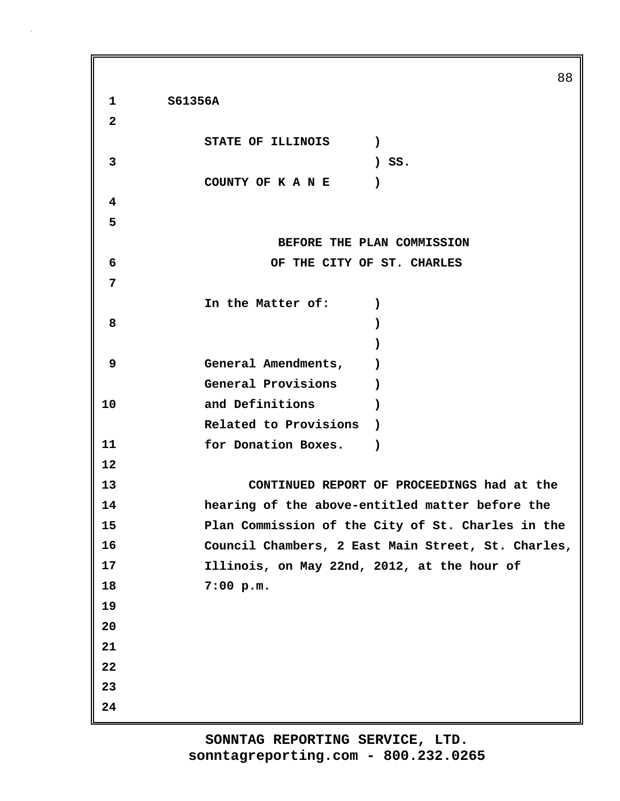**1 S61356A 2 STATE OF ILLINOIS ) 3 ) SS. COUNTY OF K A N E ) 4 5 BEFORE THE PLAN COMMISSION 6 OF THE CITY OF ST. CHARLES 7 In the Matter of: ) 8 ) ) 9 General Amendments, ) General Provisions ) 10 and Definitions ) Related to Provisions ) 11 for Donation Boxes. ) 12 13 CONTINUED REPORT OF PROCEEDINGS had at the 14 hearing of the above-entitled matter before the 15 Plan Commission of the City of St. Charles in the 16 Council Chambers, 2 East Main Street, St. Charles, 17 Illinois, on May 22nd, 2012, at the hour of 18 7:00 p.m. 19 20 21 22 23 24**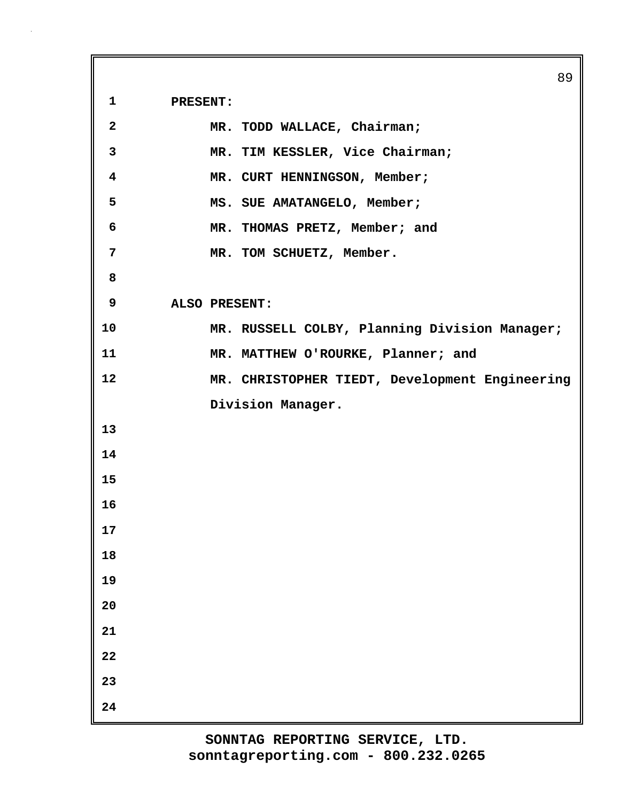**1 PRESENT:**

| $\overline{2}$          | MR. TODD WALLACE, Chairman;                    |
|-------------------------|------------------------------------------------|
| 3                       | MR. TIM KESSLER, Vice Chairman;                |
| $\overline{\mathbf{4}}$ | MR. CURT HENNINGSON, Member;                   |
| 5                       | MS. SUE AMATANGELO, Member;                    |
| 6                       | MR. THOMAS PRETZ, Member; and                  |
| $\overline{7}$          | MR. TOM SCHUETZ, Member.                       |
| 8                       |                                                |
| 9                       | ALSO PRESENT:                                  |
| 10                      | MR. RUSSELL COLBY, Planning Division Manager;  |
| 11                      | MR. MATTHEW O'ROURKE, Planner; and             |
| 12                      | MR. CHRISTOPHER TIEDT, Development Engineering |
|                         | Division Manager.                              |
| 13                      |                                                |
| 14                      |                                                |
| 15                      |                                                |
| 16                      |                                                |
| 17                      |                                                |
| 18                      |                                                |
| 19                      |                                                |
| 20                      |                                                |
| 21                      |                                                |
| 22                      |                                                |
| 23                      |                                                |
| 24                      |                                                |

89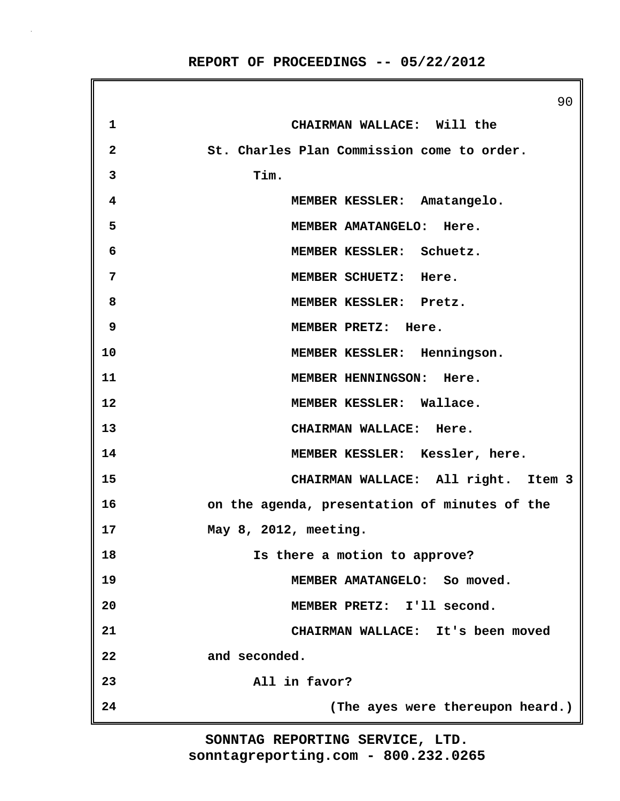90 **1 CHAIRMAN WALLACE: Will the 2 St. Charles Plan Commission come to order. 3 Tim. 4 MEMBER KESSLER: Amatangelo. 5 MEMBER AMATANGELO: Here. 6 MEMBER KESSLER: Schuetz. 7 MEMBER SCHUETZ: Here. 8 MEMBER KESSLER: Pretz. 9 MEMBER PRETZ: Here. 10 MEMBER KESSLER: Henningson. 11 MEMBER HENNINGSON: Here. 12 MEMBER KESSLER: Wallace. 13 CHAIRMAN WALLACE: Here. 14 MEMBER KESSLER: Kessler, here. 15 CHAIRMAN WALLACE: All right. Item 3 16 on the agenda, presentation of minutes of the 17 May 8, 2012, meeting. 18 Is there a motion to approve? 19 MEMBER AMATANGELO: So moved. 20 MEMBER PRETZ: I'll second. 21 CHAIRMAN WALLACE: It's been moved 22 and seconded. 23 All in favor? 24 (The ayes were thereupon heard.)**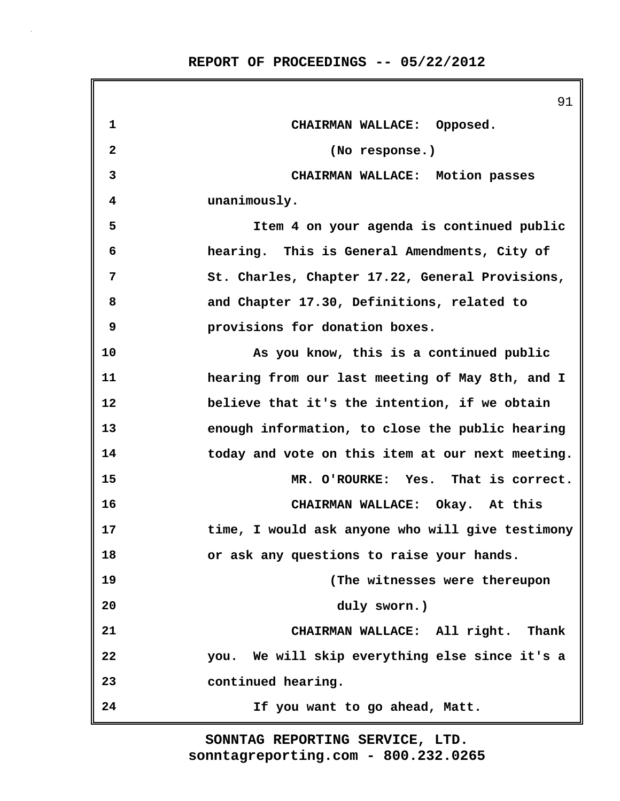|              | 91                                               |
|--------------|--------------------------------------------------|
| $\mathbf 1$  | CHAIRMAN WALLACE: Opposed.                       |
| $\mathbf{2}$ | (No response.)                                   |
| 3            | CHAIRMAN WALLACE: Motion passes                  |
| 4            | unanimously.                                     |
| 5            | Item 4 on your agenda is continued public        |
| 6            | hearing. This is General Amendments, City of     |
| 7            | St. Charles, Chapter 17.22, General Provisions,  |
| 8            | and Chapter 17.30, Definitions, related to       |
| 9            | provisions for donation boxes.                   |
| 10           | As you know, this is a continued public          |
| 11           | hearing from our last meeting of May 8th, and I  |
| 12           | believe that it's the intention, if we obtain    |
| 13           | enough information, to close the public hearing  |
| 14           | today and vote on this item at our next meeting. |
| 15           | MR. O'ROURKE: Yes. That is correct.              |
| 16           | CHAIRMAN WALLACE: Okay. At this                  |
| 17           | time, I would ask anyone who will give testimony |
| 18           | or ask any questions to raise your hands.        |
| 19           | (The witnesses were thereupon                    |
| 20           | duly sworn.)                                     |
| 21           | CHAIRMAN WALLACE: All right. Thank               |
| 22           | you. We will skip everything else since it's a   |
| 23           | continued hearing.                               |
| 24           | If you want to go ahead, Matt.                   |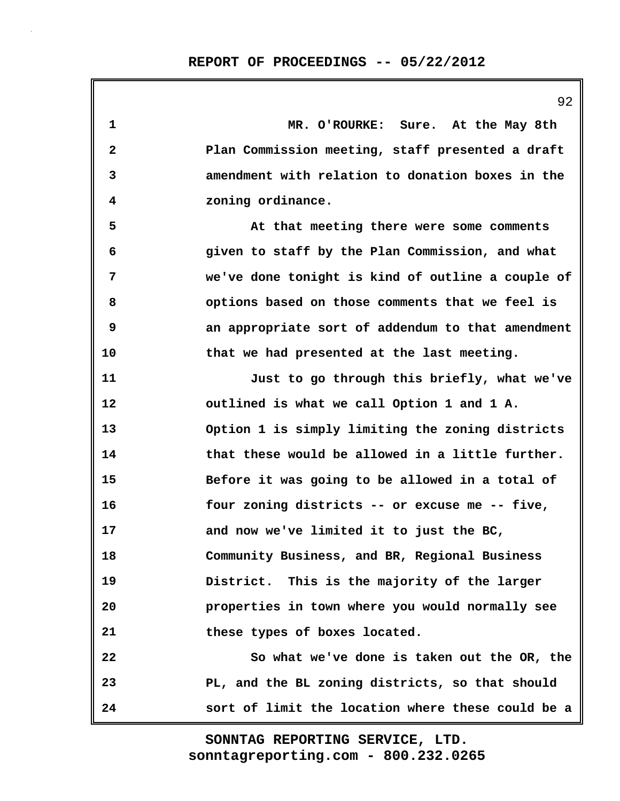**1 MR. O'ROURKE: Sure. At the May 8th 2 Plan Commission meeting, staff presented a draft 3 amendment with relation to donation boxes in the 4 zoning ordinance. 5 At that meeting there were some comments 6 given to staff by the Plan Commission, and what 7 we've done tonight is kind of outline a couple of 8 options based on those comments that we feel is 9 an appropriate sort of addendum to that amendment 10 that we had presented at the last meeting. 11 Just to go through this briefly, what we've 12 outlined is what we call Option 1 and 1 A. 13 Option 1 is simply limiting the zoning districts 14 that these would be allowed in a little further. 15 Before it was going to be allowed in a total of 16 four zoning districts -- or excuse me -- five, 17 and now we've limited it to just the BC, 18 Community Business, and BR, Regional Business 19 District. This is the majority of the larger 20 properties in town where you would normally see 21 these types of boxes located. 22 So what we've done is taken out the OR, the 23 PL, and the BL zoning districts, so that should 24 sort of limit the location where these could be a**

> **sonntagreporting.com - 800.232.0265 SONNTAG REPORTING SERVICE, LTD.**

92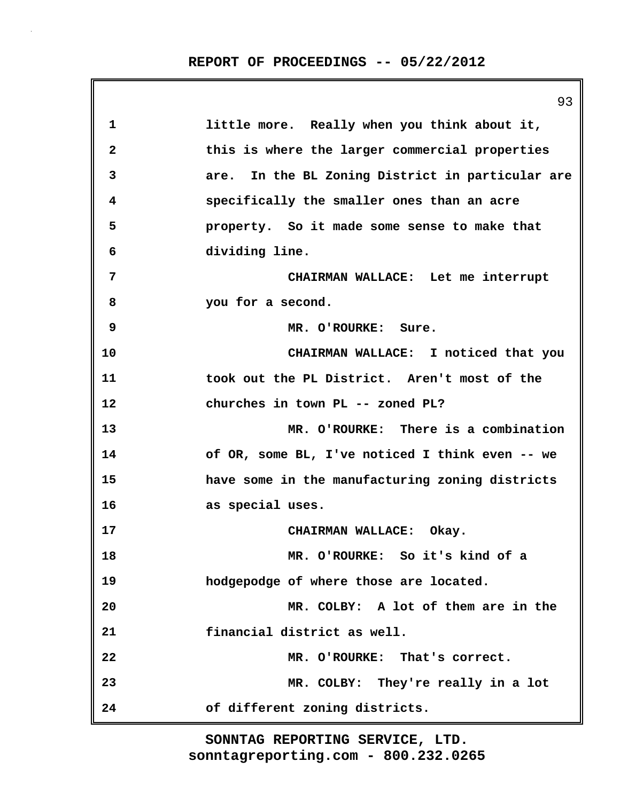|    | 93                                               |
|----|--------------------------------------------------|
| 1  | little more. Really when you think about it,     |
| 2  | this is where the larger commercial properties   |
| 3  | are. In the BL Zoning District in particular are |
| 4  | specifically the smaller ones than an acre       |
| 5  | property. So it made some sense to make that     |
| 6  | dividing line.                                   |
| 7  | CHAIRMAN WALLACE: Let me interrupt               |
| 8  | you for a second.                                |
| 9  | MR. O'ROURKE: Sure.                              |
| 10 | CHAIRMAN WALLACE: I noticed that you             |
| 11 | took out the PL District. Aren't most of the     |
| 12 | churches in town PL -- zoned PL?                 |
| 13 | MR. O'ROURKE: There is a combination             |
| 14 | of OR, some BL, I've noticed I think even -- we  |
| 15 | have some in the manufacturing zoning districts  |
| 16 | as special uses.                                 |
| 17 | CHAIRMAN WALLACE: Okay.                          |
| 18 | MR. O'ROURKE: So it's kind of a                  |
| 19 | hodgepodge of where those are located.           |
| 20 | MR. COLBY: A lot of them are in the              |
| 21 | financial district as well.                      |
| 22 | MR. O'ROURKE: That's correct.                    |
| 23 | MR. COLBY: They're really in a lot               |
| 24 | of different zoning districts.                   |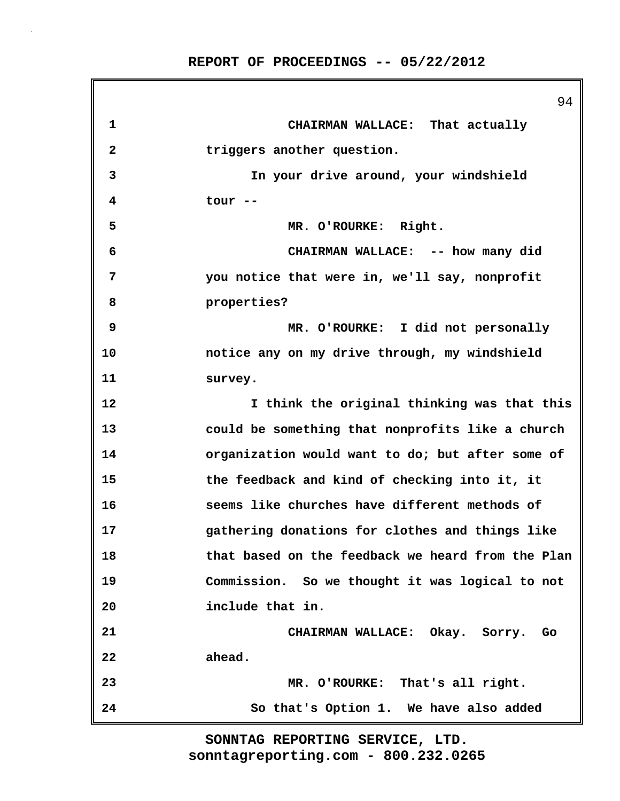|              | 94                                                |
|--------------|---------------------------------------------------|
| 1            | CHAIRMAN WALLACE: That actually                   |
| $\mathbf{2}$ | triggers another question.                        |
| 3            | In your drive around, your windshield             |
| 4            | tour --                                           |
| 5            | MR. O'ROURKE: Right.                              |
| 6            | CHAIRMAN WALLACE: -- how many did                 |
| 7            | you notice that were in, we'll say, nonprofit     |
| 8            | properties?                                       |
| 9            | MR. O'ROURKE: I did not personally                |
| 10           | notice any on my drive through, my windshield     |
| 11           | survey.                                           |
| 12           | I think the original thinking was that this       |
| 13           | could be something that nonprofits like a church  |
| 14           | organization would want to do; but after some of  |
| 15           | the feedback and kind of checking into it, it     |
| 16           | seems like churches have different methods of     |
| 17           | gathering donations for clothes and things like   |
| 18           | that based on the feedback we heard from the Plan |
| 19           | Commission. So we thought it was logical to not   |
| 20           | include that in.                                  |
| 21           | CHAIRMAN WALLACE: Okay. Sorry.<br>Go              |
| 22           | ahead.                                            |
| 23           | MR. O'ROURKE: That's all right.                   |
| 24           | So that's Option 1. We have also added            |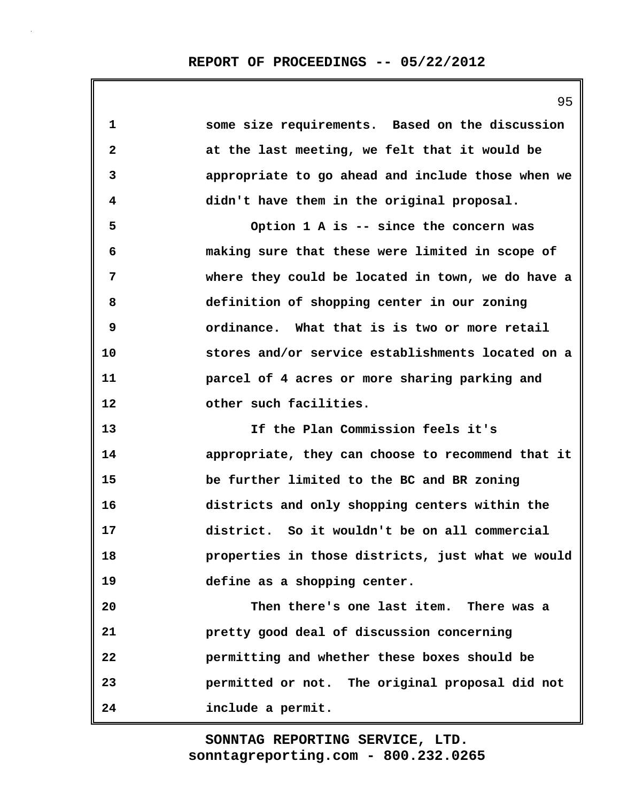95

| 1            | some size requirements. Based on the discussion   |
|--------------|---------------------------------------------------|
| $\mathbf{2}$ | at the last meeting, we felt that it would be     |
| 3            | appropriate to go ahead and include those when we |
| 4            | didn't have them in the original proposal.        |
| 5            | Option 1 A is -- since the concern was            |
| 6            | making sure that these were limited in scope of   |
| 7            | where they could be located in town, we do have a |
| 8            | definition of shopping center in our zoning       |
| 9            | ordinance. What that is is two or more retail     |
| 10           | stores and/or service establishments located on a |
| 11           | parcel of 4 acres or more sharing parking and     |
| 12           | other such facilities.                            |
| 13           | If the Plan Commission feels it's                 |
| 14           | appropriate, they can choose to recommend that it |
| 15           | be further limited to the BC and BR zoning        |
| 16           | districts and only shopping centers within the    |
| 17           | district. So it wouldn't be on all commercial     |
| 18           | properties in those districts, just what we would |
| 19           | define as a shopping center.                      |
| 20           | Then there's one last item. There was a           |
| 21           | pretty good deal of discussion concerning         |
| 22           | permitting and whether these boxes should be      |
| 23           | permitted or not. The original proposal did not   |

**24 include a permit.**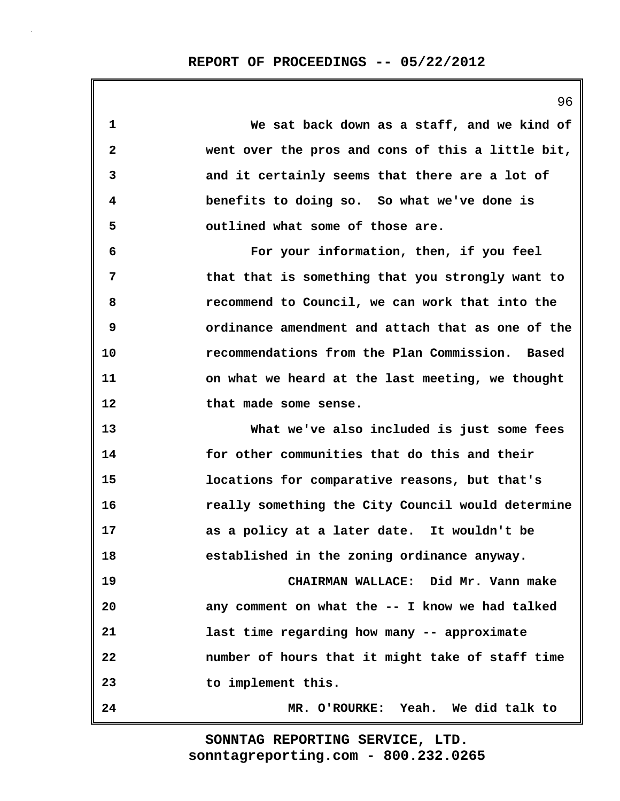| 1            | We sat back down as a staff, and we kind of       |
|--------------|---------------------------------------------------|
| $\mathbf{2}$ | went over the pros and cons of this a little bit, |
| 3            | and it certainly seems that there are a lot of    |
| 4            | benefits to doing so. So what we've done is       |
| 5            | outlined what some of those are.                  |
| 6            | For your information, then, if you feel           |
| 7            | that that is something that you strongly want to  |
| 8            | recommend to Council, we can work that into the   |
| 9            | ordinance amendment and attach that as one of the |
| 10           | recommendations from the Plan Commission. Based   |
| 11           | on what we heard at the last meeting, we thought  |
| 12           | that made some sense.                             |
| 13           | What we've also included is just some fees        |
| 14           | for other communities that do this and their      |
| 15           | locations for comparative reasons, but that's     |
| 16           | really something the City Council would determine |
| 17           | as a policy at a later date. It wouldn't be       |
| 18           | established in the zoning ordinance anyway.       |
| 19           | CHAIRMAN WALLACE: Did Mr. Vann make               |
| 20           | any comment on what the -- I know we had talked   |
| 21           | last time regarding how many -- approximate       |
| 22           | number of hours that it might take of staff time  |
| 23           | to implement this.                                |
| 24           | MR. O'ROURKE: Yeah. We did talk to                |

96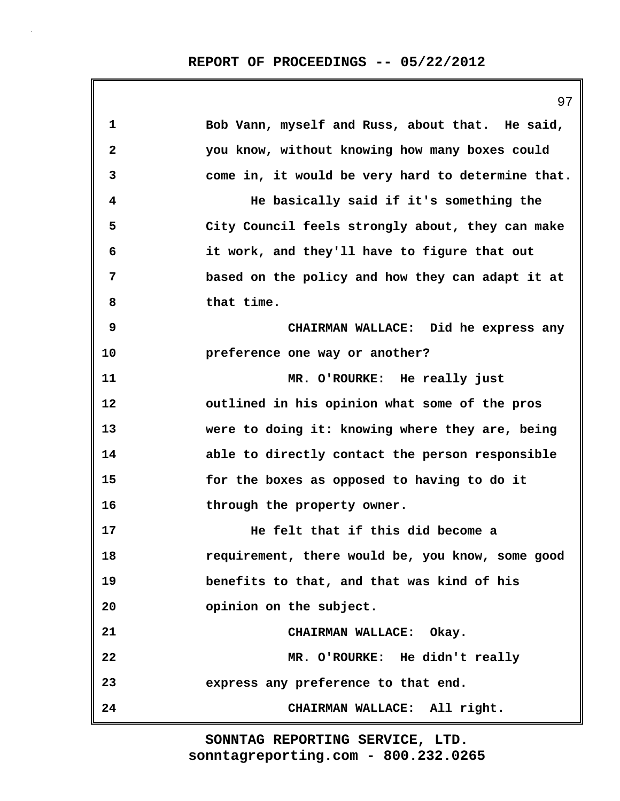|                         | 97                                                |
|-------------------------|---------------------------------------------------|
| 1                       | Bob Vann, myself and Russ, about that. He said,   |
| $\overline{\mathbf{2}}$ | you know, without knowing how many boxes could    |
| 3                       | come in, it would be very hard to determine that. |
| 4                       | He basically said if it's something the           |
| 5                       | City Council feels strongly about, they can make  |
| 6                       | it work, and they'll have to figure that out      |
| 7                       | based on the policy and how they can adapt it at  |
| 8                       | that time.                                        |
| 9                       | CHAIRMAN WALLACE: Did he express any              |
| 10                      | preference one way or another?                    |
| 11                      | MR. O'ROURKE: He really just                      |
| 12                      | outlined in his opinion what some of the pros     |
| 13                      | were to doing it: knowing where they are, being   |
| 14                      | able to directly contact the person responsible   |
| 15                      | for the boxes as opposed to having to do it       |
| 16                      | through the property owner.                       |
| 17                      | He felt that if this did become a                 |
| 18                      | requirement, there would be, you know, some good  |
| 19                      | benefits to that, and that was kind of his        |
| 20                      | opinion on the subject.                           |
| 21                      | CHAIRMAN WALLACE: Okay.                           |
| 22                      | MR. O'ROURKE: He didn't really                    |
| 23                      | express any preference to that end.               |
| 24                      | CHAIRMAN WALLACE: All right.                      |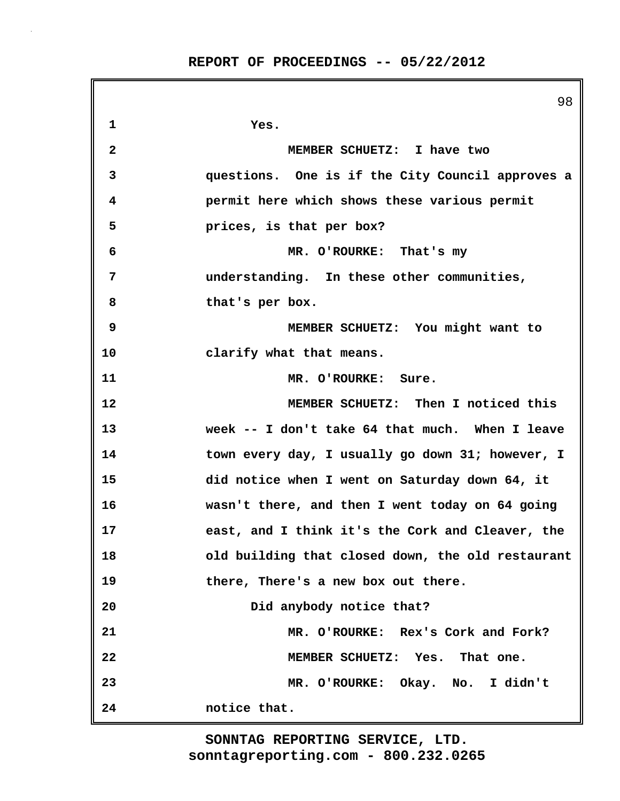|    | 98                                                |
|----|---------------------------------------------------|
| 1  | Yes.                                              |
| 2  | MEMBER SCHUETZ: I have two                        |
| 3  | questions. One is if the City Council approves a  |
| 4  | permit here which shows these various permit      |
| 5  | prices, is that per box?                          |
| 6  | MR. O'ROURKE: That's my                           |
| 7  | understanding. In these other communities,        |
| 8  | that's per box.                                   |
| 9  | MEMBER SCHUETZ: You might want to                 |
| 10 | clarify what that means.                          |
| 11 | MR. O'ROURKE: Sure.                               |
| 12 | MEMBER SCHUETZ: Then I noticed this               |
| 13 | week -- I don't take 64 that much. When I leave   |
| 14 | town every day, I usually go down 31; however, I  |
| 15 | did notice when I went on Saturday down 64, it    |
| 16 | wasn't there, and then I went today on 64 going   |
| 17 | east, and I think it's the Cork and Cleaver, the  |
| 18 | old building that closed down, the old restaurant |
| 19 | there, There's a new box out there.               |
| 20 | Did anybody notice that?                          |
| 21 | MR. O'ROURKE: Rex's Cork and Fork?                |
| 22 | MEMBER SCHUETZ: Yes. That one.                    |
| 23 | MR. O'ROURKE: Okay. No. I didn't                  |
| 24 | notice that.                                      |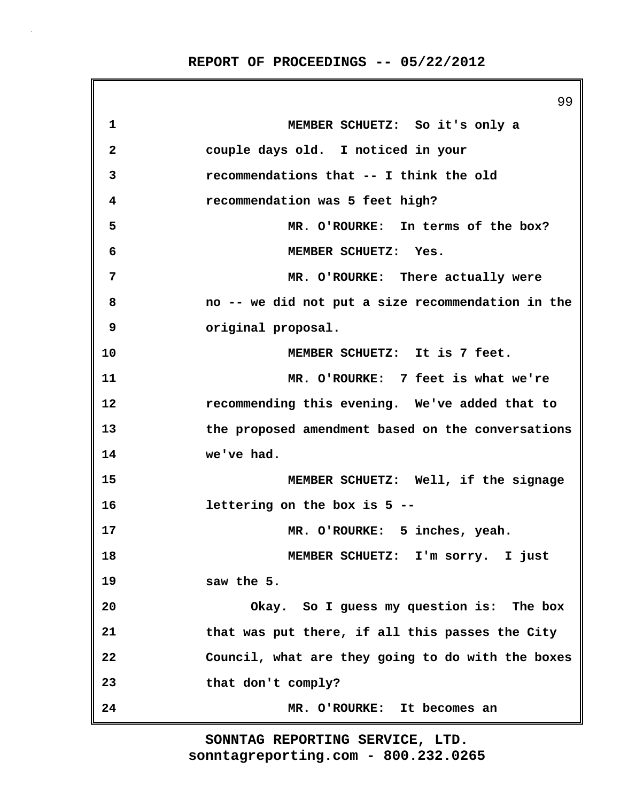99 **1 MEMBER SCHUETZ: So it's only a 2 couple days old. I noticed in your 3 recommendations that -- I think the old 4 recommendation was 5 feet high? 5 MR. O'ROURKE: In terms of the box? 6 MEMBER SCHUETZ: Yes. 7 MR. O'ROURKE: There actually were 8 no -- we did not put a size recommendation in the 9 original proposal. 10 MEMBER SCHUETZ: It is 7 feet. 11 MR. O'ROURKE: 7 feet is what we're 12 recommending this evening. We've added that to 13 the proposed amendment based on the conversations 14 we've had. 15 MEMBER SCHUETZ: Well, if the signage 16 lettering on the box is 5 -- 17 MR. O'ROURKE: 5 inches, yeah. 18 MEMBER SCHUETZ: I'm sorry. I just 19 saw the 5. 20 Okay. So I guess my question is: The box 21 that was put there, if all this passes the City 22 Council, what are they going to do with the boxes 23 that don't comply? 24 MR. O'ROURKE: It becomes an**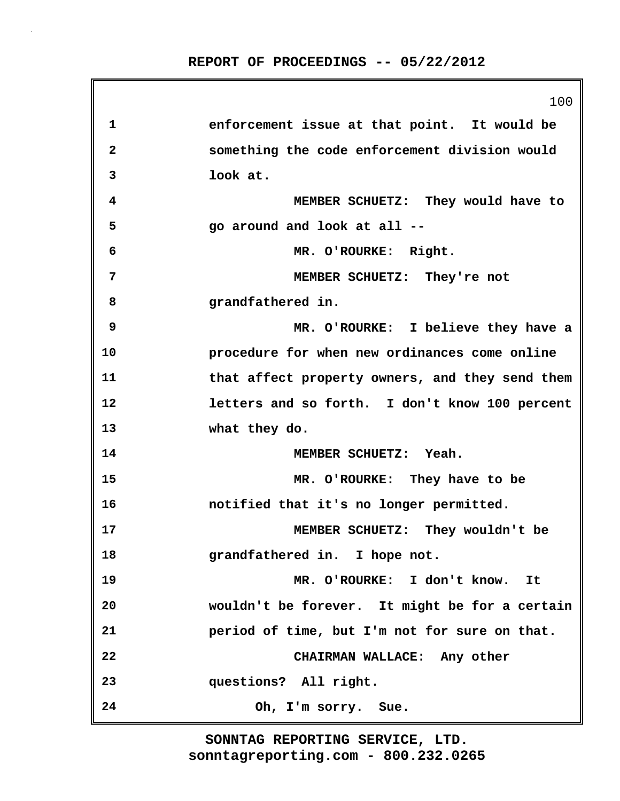|    | 100                                             |
|----|-------------------------------------------------|
| 1  | enforcement issue at that point. It would be    |
| 2  | something the code enforcement division would   |
| 3  | look at.                                        |
| 4  | MEMBER SCHUETZ: They would have to              |
| 5  | go around and look at all --                    |
| 6  | MR. O'ROURKE: Right.                            |
| 7  | MEMBER SCHUETZ: They're not                     |
| 8  | grandfathered in.                               |
| 9  | MR. O'ROURKE: I believe they have a             |
| 10 | procedure for when new ordinances come online   |
| 11 | that affect property owners, and they send them |
| 12 | letters and so forth. I don't know 100 percent  |
| 13 | what they do.                                   |
| 14 | MEMBER SCHUETZ: Yeah.                           |
| 15 | MR. O'ROURKE: They have to be                   |
| 16 | notified that it's no longer permitted.         |
| 17 | MEMBER SCHUETZ: They wouldn't be                |
| 18 | grandfathered in. I hope not.                   |
| 19 | MR. O'ROURKE: I don't know. It                  |
| 20 | wouldn't be forever. It might be for a certain  |
| 21 | period of time, but I'm not for sure on that.   |
| 22 | CHAIRMAN WALLACE: Any other                     |
| 23 | questions? All right.                           |
| 24 | Oh, I'm sorry. Sue.                             |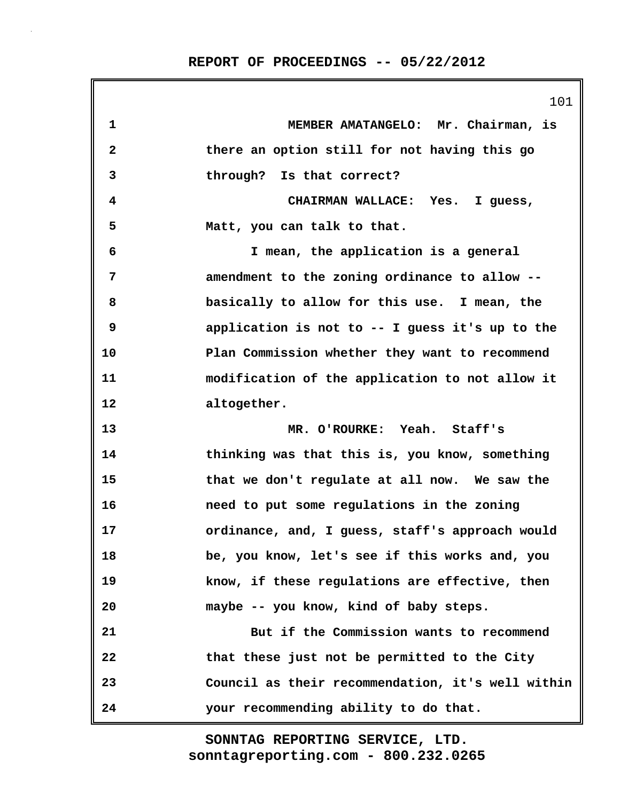|              | 101                                               |
|--------------|---------------------------------------------------|
| 1            | MEMBER AMATANGELO: Mr. Chairman, is               |
| $\mathbf{2}$ | there an option still for not having this go      |
| 3            | through? Is that correct?                         |
| 4            | CHAIRMAN WALLACE: Yes. I guess,                   |
| 5            | Matt, you can talk to that.                       |
| 6            | I mean, the application is a general              |
| 7            | amendment to the zoning ordinance to allow --     |
| 8            | basically to allow for this use. I mean, the      |
| 9            | application is not to -- I guess it's up to the   |
| 10           | Plan Commission whether they want to recommend    |
| 11           | modification of the application to not allow it   |
| 12           | altogether.                                       |
| 13           | MR. O'ROURKE: Yeah. Staff's                       |
| 14           | thinking was that this is, you know, something    |
| 15           | that we don't regulate at all now. We saw the     |
| 16           | need to put some regulations in the zoning        |
| 17           | ordinance, and, I guess, staff's approach would   |
| 18           | be, you know, let's see if this works and, you    |
| 19           | know, if these regulations are effective, then    |
| 20           | maybe -- you know, kind of baby steps.            |
| 21           | But if the Commission wants to recommend          |
| 22           | that these just not be permitted to the City      |
| 23           | Council as their recommendation, it's well within |
| 24           | your recommending ability to do that.             |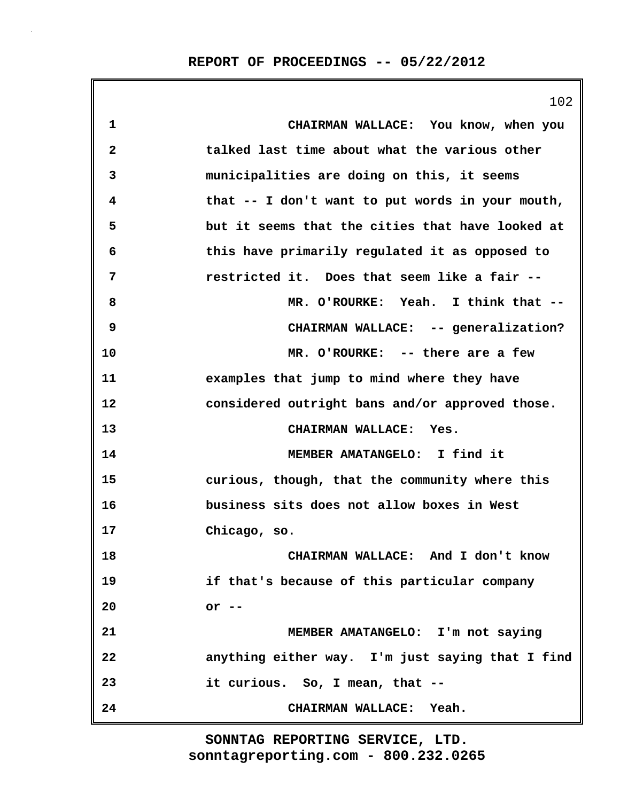102 **1 CHAIRMAN WALLACE: You know, when you 2 talked last time about what the various other 3 municipalities are doing on this, it seems 4 that -- I don't want to put words in your mouth, 5 but it seems that the cities that have looked at 6 this have primarily regulated it as opposed to 7 restricted it. Does that seem like a fair -- 8 MR. O'ROURKE: Yeah. I think that -- 9 CHAIRMAN WALLACE: -- generalization? 10 MR. O'ROURKE: -- there are a few 11 examples that jump to mind where they have 12 considered outright bans and/or approved those. 13 CHAIRMAN WALLACE: Yes. 14 MEMBER AMATANGELO: I find it 15 curious, though, that the community where this 16 business sits does not allow boxes in West 17 Chicago, so. 18 CHAIRMAN WALLACE: And I don't know 19 if that's because of this particular company 20 or -- 21 MEMBER AMATANGELO: I'm not saying 22 anything either way. I'm just saying that I find 23 it curious. So, I mean, that -- 24 CHAIRMAN WALLACE: Yeah.**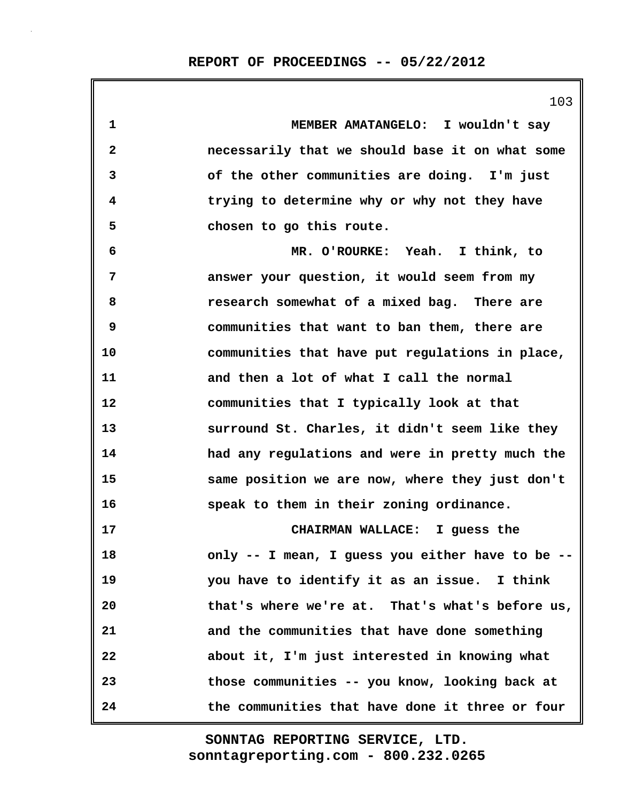**1 MEMBER AMATANGELO: I wouldn't say 2 necessarily that we should base it on what some 3 of the other communities are doing. I'm just 4 trying to determine why or why not they have 5 chosen to go this route. 6 MR. O'ROURKE: Yeah. I think, to 7 answer your question, it would seem from my 8 research somewhat of a mixed bag. There are 9 communities that want to ban them, there are 10 communities that have put regulations in place, 11 and then a lot of what I call the normal 12 communities that I typically look at that 13 surround St. Charles, it didn't seem like they 14 had any regulations and were in pretty much the 15 same position we are now, where they just don't 16 speak to them in their zoning ordinance. 17 CHAIRMAN WALLACE: I guess the 18 only -- I mean, I guess you either have to be -- 19 you have to identify it as an issue. I think 20 that's where we're at. That's what's before us, 21 and the communities that have done something 22 about it, I'm just interested in knowing what 23 those communities -- you know, looking back at 24 the communities that have done it three or four**

> **sonntagreporting.com - 800.232.0265 SONNTAG REPORTING SERVICE, LTD.**

103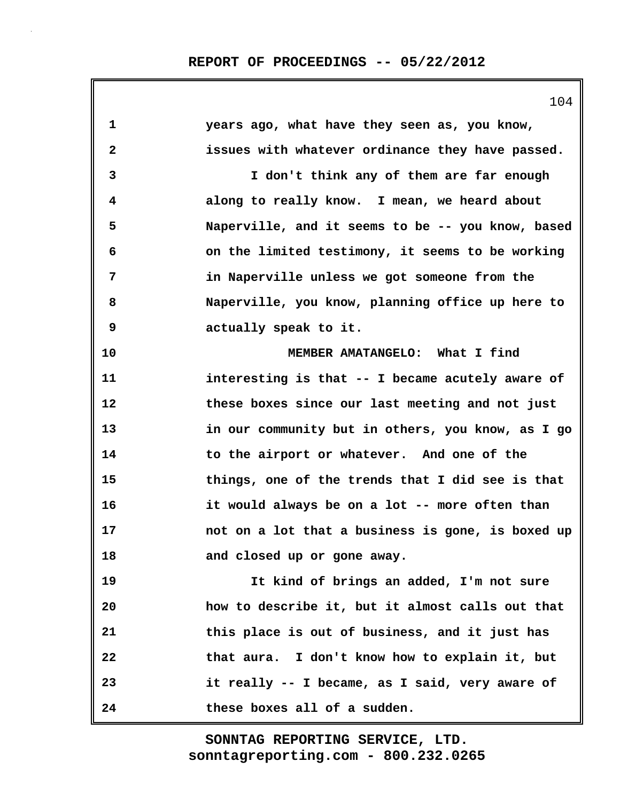|              | 104                                               |
|--------------|---------------------------------------------------|
| $\mathbf{1}$ | years ago, what have they seen as, you know,      |
| $\mathbf{2}$ | issues with whatever ordinance they have passed.  |
| 3            | I don't think any of them are far enough          |
| 4            | along to really know. I mean, we heard about      |
| 5            | Naperville, and it seems to be -- you know, based |
| 6            | on the limited testimony, it seems to be working  |
| 7            | in Naperville unless we got someone from the      |
| 8            | Naperville, you know, planning office up here to  |
| 9            | actually speak to it.                             |
| 10           | MEMBER AMATANGELO: What I find                    |
| 11           | interesting is that -- I became acutely aware of  |
| 12           | these boxes since our last meeting and not just   |
| 13           | in our community but in others, you know, as I go |
| 14           | to the airport or whatever. And one of the        |
| 15           | things, one of the trends that I did see is that  |
| 16           | it would always be on a lot -- more often than    |
| 17           | not on a lot that a business is gone, is boxed up |
| 18           | and closed up or gone away.                       |
| 19           | It kind of brings an added, I'm not sure          |
| 20           | how to describe it, but it almost calls out that  |
| 21           | this place is out of business, and it just has    |
| 22           | that aura. I don't know how to explain it, but    |
| 23           | it really -- I became, as I said, very aware of   |
| 24           | these boxes all of a sudden.                      |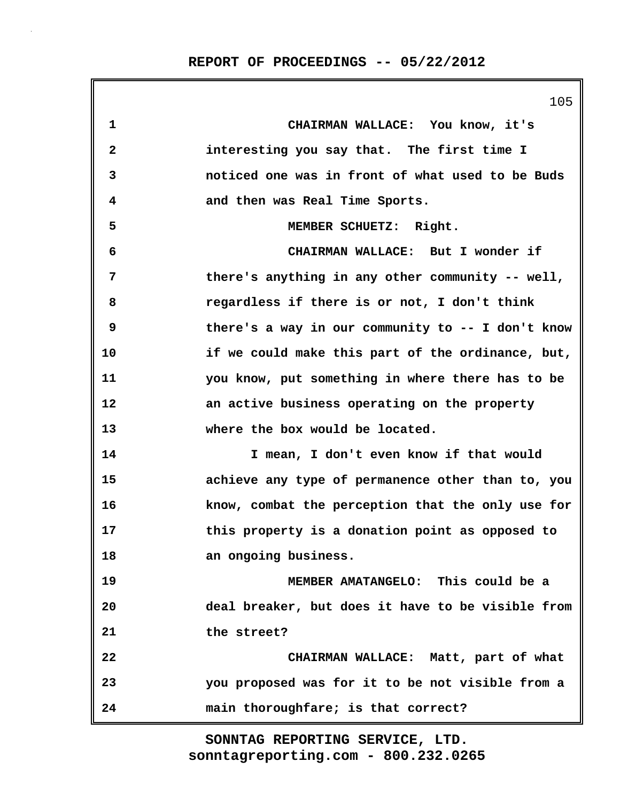105 **1 CHAIRMAN WALLACE: You know, it's 2 interesting you say that. The first time I 3 noticed one was in front of what used to be Buds 4 and then was Real Time Sports. 5 MEMBER SCHUETZ: Right. 6 CHAIRMAN WALLACE: But I wonder if 7 there's anything in any other community -- well, 8 regardless if there is or not, I don't think 9 there's a way in our community to -- I don't know 10 if we could make this part of the ordinance, but, 11 you know, put something in where there has to be 12 an active business operating on the property 13 where the box would be located. 14 I mean, I don't even know if that would 15 achieve any type of permanence other than to, you 16 know, combat the perception that the only use for 17 this property is a donation point as opposed to 18 an ongoing business. 19 MEMBER AMATANGELO: This could be a 20 deal breaker, but does it have to be visible from 21 the street? 22 CHAIRMAN WALLACE: Matt, part of what 23 you proposed was for it to be not visible from a 24 main thoroughfare; is that correct?**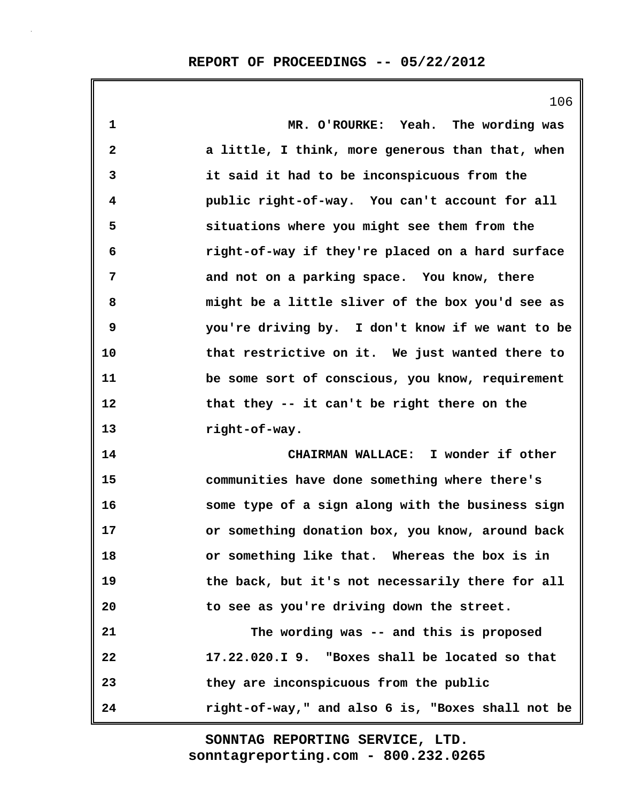106

| $\mathbf{1}$            | MR. O'ROURKE: Yeah. The wording was               |
|-------------------------|---------------------------------------------------|
| $\overline{\mathbf{2}}$ | a little, I think, more generous than that, when  |
| 3                       | it said it had to be inconspicuous from the       |
| 4                       | public right-of-way. You can't account for all    |
| 5                       | situations where you might see them from the      |
| 6                       | right-of-way if they're placed on a hard surface  |
| 7                       | and not on a parking space. You know, there       |
| 8                       | might be a little sliver of the box you'd see as  |
| 9                       | you're driving by. I don't know if we want to be  |
| 10                      | that restrictive on it. We just wanted there to   |
| 11                      | be some sort of conscious, you know, requirement  |
| 12                      | that they -- it can't be right there on the       |
| 13                      | right-of-way.                                     |
| 14                      | CHAIRMAN WALLACE: I wonder if other               |
| 15                      | communities have done something where there's     |
| 16                      | some type of a sign along with the business sign  |
| 17                      | or something donation box, you know, around back  |
| 18                      | or something like that. Whereas the box is in     |
| 19                      | the back, but it's not necessarily there for all  |
| 20                      | to see as you're driving down the street.         |
| 21                      | The wording was -- and this is proposed           |
| 22                      | 17.22.020.I 9. "Boxes shall be located so that    |
| 23                      | they are inconspicuous from the public            |
| 24                      | right-of-way," and also 6 is, "Boxes shall not be |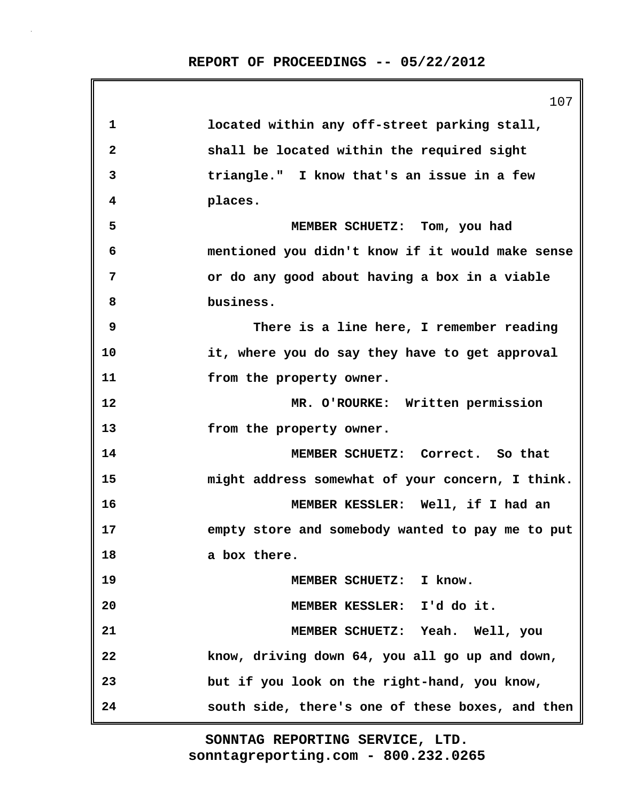|              | 107                                              |
|--------------|--------------------------------------------------|
| $\mathbf 1$  | located within any off-street parking stall,     |
| $\mathbf{2}$ | shall be located within the required sight       |
| 3            | triangle." I know that's an issue in a few       |
| 4            | places.                                          |
| 5            | MEMBER SCHUETZ: Tom, you had                     |
| 6            | mentioned you didn't know if it would make sense |
| 7            | or do any good about having a box in a viable    |
| 8            | business.                                        |
| 9            | There is a line here, I remember reading         |
| 10           | it, where you do say they have to get approval   |
| 11           | from the property owner.                         |
| 12           | MR. O'ROURKE: Written permission                 |
| 13           | from the property owner.                         |
| 14           | MEMBER SCHUETZ: Correct. So that                 |
| 15           | might address somewhat of your concern, I think. |
| 16           | MEMBER KESSLER: Well, if I had an                |
| 17           | empty store and somebody wanted to pay me to put |
| 18           | a box there.                                     |
| 19           | MEMBER SCHUETZ: I know.                          |
| 20           | MEMBER KESSLER: I'd do it.                       |
| 21           | MEMBER SCHUETZ: Yeah. Well, you                  |
| 22           | know, driving down 64, you all go up and down,   |
| 23           | but if you look on the right-hand, you know,     |
| 24           | south side, there's one of these boxes, and then |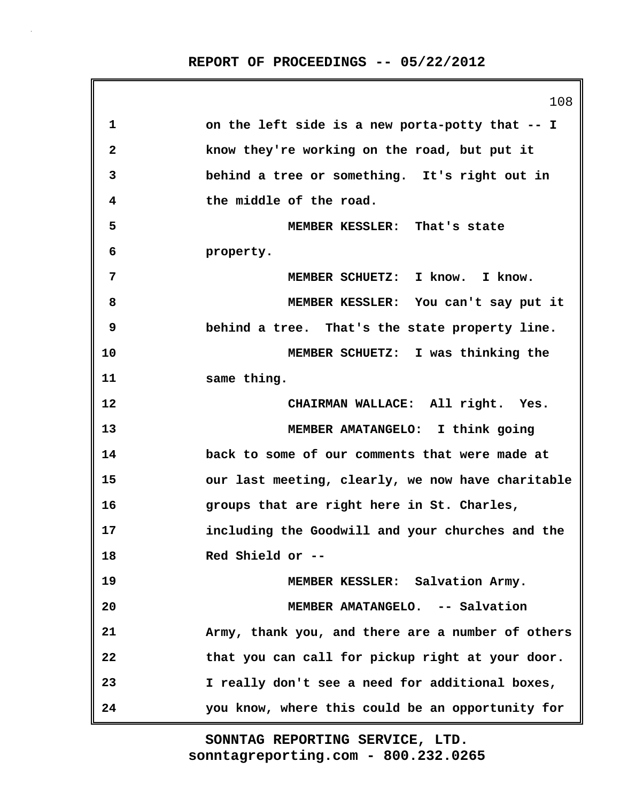108 **1 on the left side is a new porta-potty that -- I 2 know they're working on the road, but put it 3 behind a tree or something. It's right out in 4 the middle of the road. 5 MEMBER KESSLER: That's state 6 property. 7 MEMBER SCHUETZ: I know. I know. 8 MEMBER KESSLER: You can't say put it 9 behind a tree. That's the state property line. 10 MEMBER SCHUETZ: I was thinking the 11 same thing. 12 CHAIRMAN WALLACE: All right. Yes. 13 MEMBER AMATANGELO: I think going 14 back to some of our comments that were made at 15 our last meeting, clearly, we now have charitable 16 groups that are right here in St. Charles, 17 including the Goodwill and your churches and the 18 Red Shield or -- 19 MEMBER KESSLER: Salvation Army. 20 MEMBER AMATANGELO. -- Salvation 21 Army, thank you, and there are a number of others 22 that you can call for pickup right at your door. 23 I really don't see a need for additional boxes, 24 you know, where this could be an opportunity for**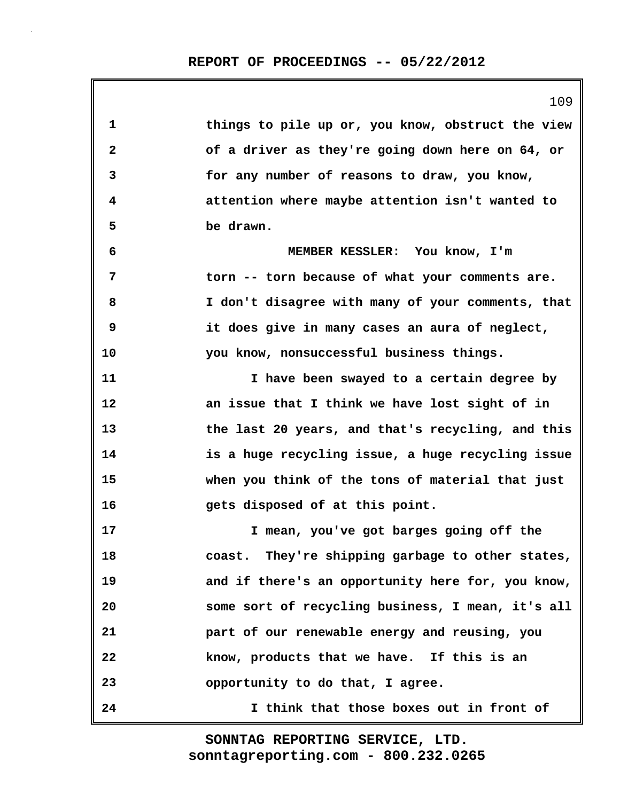**1 things to pile up or, you know, obstruct the view 2 of a driver as they're going down here on 64, or 3 for any number of reasons to draw, you know, 4 attention where maybe attention isn't wanted to 5 be drawn. 6 MEMBER KESSLER: You know, I'm 7 torn -- torn because of what your comments are. 8 I don't disagree with many of your comments, that 9 it does give in many cases an aura of neglect, 10 you know, nonsuccessful business things. 11 I have been swayed to a certain degree by 12 an issue that I think we have lost sight of in 13 the last 20 years, and that's recycling, and this 14 is a huge recycling issue, a huge recycling issue 15 when you think of the tons of material that just 16 gets disposed of at this point. 17 I mean, you've got barges going off the 18 coast. They're shipping garbage to other states, 19 and if there's an opportunity here for, you know, 20 some sort of recycling business, I mean, it's all 21 part of our renewable energy and reusing, you 22 know, products that we have. If this is an 23 opportunity to do that, I agree. 24 I think that those boxes out in front of**

> **sonntagreporting.com - 800.232.0265 SONNTAG REPORTING SERVICE, LTD.**

109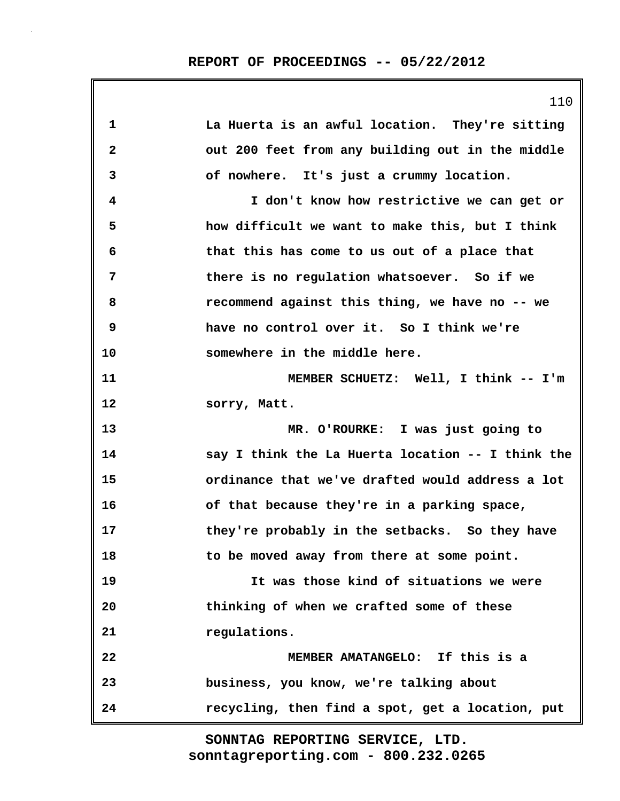|              | 110                                               |
|--------------|---------------------------------------------------|
| 1            | La Huerta is an awful location. They're sitting   |
| $\mathbf{2}$ | out 200 feet from any building out in the middle  |
| 3            | of nowhere. It's just a crummy location.          |
| 4            | I don't know how restrictive we can get or        |
| 5            | how difficult we want to make this, but I think   |
| 6            | that this has come to us out of a place that      |
| 7            | there is no regulation whatsoever. So if we       |
| 8            | recommend against this thing, we have no -- we    |
| 9            | have no control over it. So I think we're         |
| 10           | somewhere in the middle here.                     |
| 11           | MEMBER SCHUETZ: Well, I think -- I'm              |
| 12           | sorry, Matt.                                      |
| 13           | MR. O'ROURKE: I was just going to                 |
| 14           | say I think the La Huerta location -- I think the |
| 15           | ordinance that we've drafted would address a lot  |
| 16           | of that because they're in a parking space,       |
| 17           | they're probably in the setbacks. So they have    |
| 18           | to be moved away from there at some point.        |
| 19           | It was those kind of situations we were           |
| 20           | thinking of when we crafted some of these         |
| 21           | regulations.                                      |
| 22           | MEMBER AMATANGELO: If this is a                   |
| 23           | business, you know, we're talking about           |
| 24           | recycling, then find a spot, get a location, put  |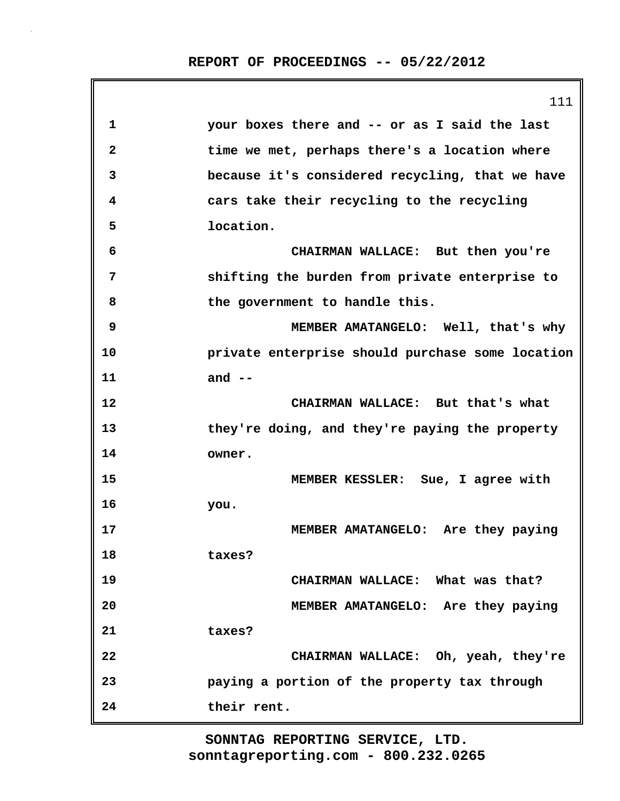|    | 111                                              |
|----|--------------------------------------------------|
| 1  | your boxes there and -- or as I said the last    |
| 2  | time we met, perhaps there's a location where    |
| 3  | because it's considered recycling, that we have  |
| 4  | cars take their recycling to the recycling       |
| 5  | location.                                        |
| 6  | CHAIRMAN WALLACE: But then you're                |
| 7  | shifting the burden from private enterprise to   |
| 8  | the government to handle this.                   |
| 9  | MEMBER AMATANGELO: Well, that's why              |
| 10 | private enterprise should purchase some location |
| 11 | and $--$                                         |
| 12 | CHAIRMAN WALLACE: But that's what                |
| 13 | they're doing, and they're paying the property   |
| 14 | owner.                                           |
| 15 | MEMBER KESSLER: Sue, I agree with                |
| 16 | you.                                             |
| 17 | MEMBER AMATANGELO: Are they paying               |
| 18 | taxes?                                           |
| 19 | CHAIRMAN WALLACE: What was that?                 |
| 20 | MEMBER AMATANGELO: Are they paying               |
| 21 | taxes?                                           |
| 22 | CHAIRMAN WALLACE: Oh, yeah, they're              |
| 23 | paying a portion of the property tax through     |
| 24 | their rent.                                      |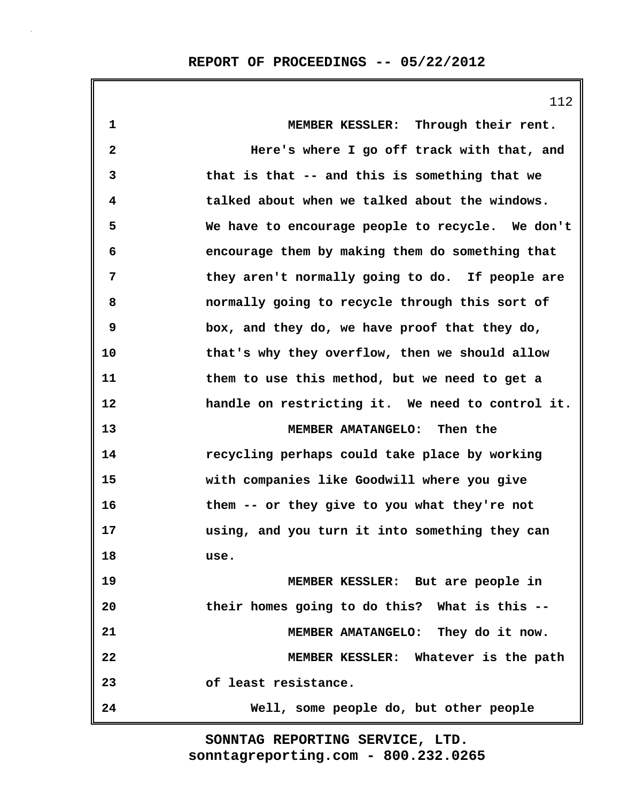112

| 1  | MEMBER KESSLER: Through their rent.              |
|----|--------------------------------------------------|
| 2  | Here's where I go off track with that, and       |
| 3  | that is that -- and this is something that we    |
| 4  | talked about when we talked about the windows.   |
| 5  | We have to encourage people to recycle. We don't |
| 6  | encourage them by making them do something that  |
| 7  | they aren't normally going to do. If people are  |
| 8  | normally going to recycle through this sort of   |
| 9  | box, and they do, we have proof that they do,    |
| 10 | that's why they overflow, then we should allow   |
| 11 | them to use this method, but we need to get a    |
| 12 | handle on restricting it. We need to control it. |
| 13 | MEMBER AMATANGELO: Then the                      |
| 14 | recycling perhaps could take place by working    |
| 15 | with companies like Goodwill where you give      |
| 16 | them -- or they give to you what they're not     |
| 17 | using, and you turn it into something they can   |
| 18 | use.                                             |
| 19 | MEMBER KESSLER: But are people in                |
| 20 | their homes going to do this? What is this --    |
| 21 | MEMBER AMATANGELO: They do it now.               |
| 22 | MEMBER KESSLER: Whatever is the path             |
| 23 | of least resistance.                             |
| 24 | Well, some people do, but other people           |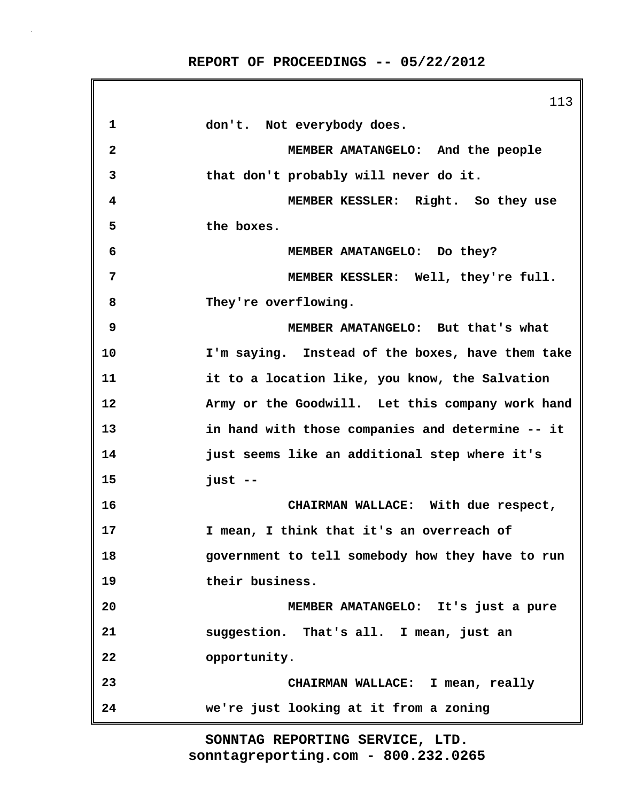113 **1 don't. Not everybody does. 2 MEMBER AMATANGELO: And the people 3 that don't probably will never do it. 4 MEMBER KESSLER: Right. So they use 5 the boxes. 6 MEMBER AMATANGELO: Do they? 7 MEMBER KESSLER: Well, they're full. 8 They're overflowing. 9 MEMBER AMATANGELO: But that's what 10 I'm saying. Instead of the boxes, have them take 11 it to a location like, you know, the Salvation 12 Army or the Goodwill. Let this company work hand 13 in hand with those companies and determine -- it 14 just seems like an additional step where it's 15 just -- 16 CHAIRMAN WALLACE: With due respect, 17 I mean, I think that it's an overreach of 18 government to tell somebody how they have to run 19 their business. 20 MEMBER AMATANGELO: It's just a pure 21 suggestion. That's all. I mean, just an 22 opportunity. 23 CHAIRMAN WALLACE: I mean, really 24 we're just looking at it from a zoning**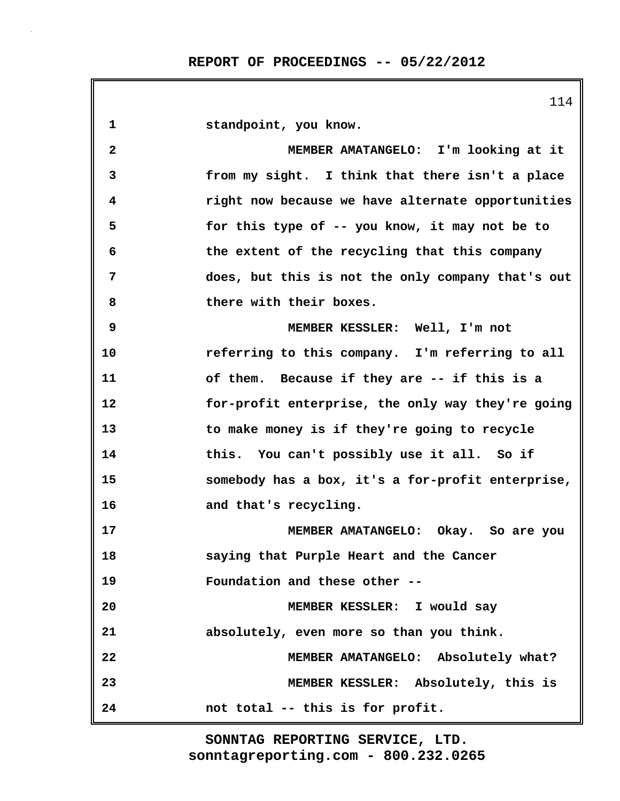|                         | 114                                               |
|-------------------------|---------------------------------------------------|
| 1                       | standpoint, you know.                             |
| $\overline{\mathbf{2}}$ | MEMBER AMATANGELO: I'm looking at it              |
| 3                       | from my sight. I think that there isn't a place   |
| 4                       | right now because we have alternate opportunities |
| 5                       | for this type of -- you know, it may not be to    |
| 6                       | the extent of the recycling that this company     |
| 7                       | does, but this is not the only company that's out |
| 8                       | there with their boxes.                           |
| 9                       | MEMBER KESSLER: Well, I'm not                     |
| 10                      | referring to this company. I'm referring to all   |
| 11                      | of them. Because if they are -- if this is a      |
| 12                      | for-profit enterprise, the only way they're going |
| 13                      | to make money is if they're going to recycle      |
| 14                      | this. You can't possibly use it all. So if        |
| 15                      | somebody has a box, it's a for-profit enterprise, |
| 16                      | and that's recycling.                             |
| 17                      | MEMBER AMATANGELO: Okay. So are you               |
| 18                      | saying that Purple Heart and the Cancer           |
| 19                      | Foundation and these other --                     |
| 20                      | MEMBER KESSLER: I would say                       |
| 21                      | absolutely, even more so than you think.          |
| 22                      | MEMBER AMATANGELO: Absolutely what?               |
| 23                      | MEMBER KESSLER: Absolutely, this is               |
| 24                      | not total -- this is for profit.                  |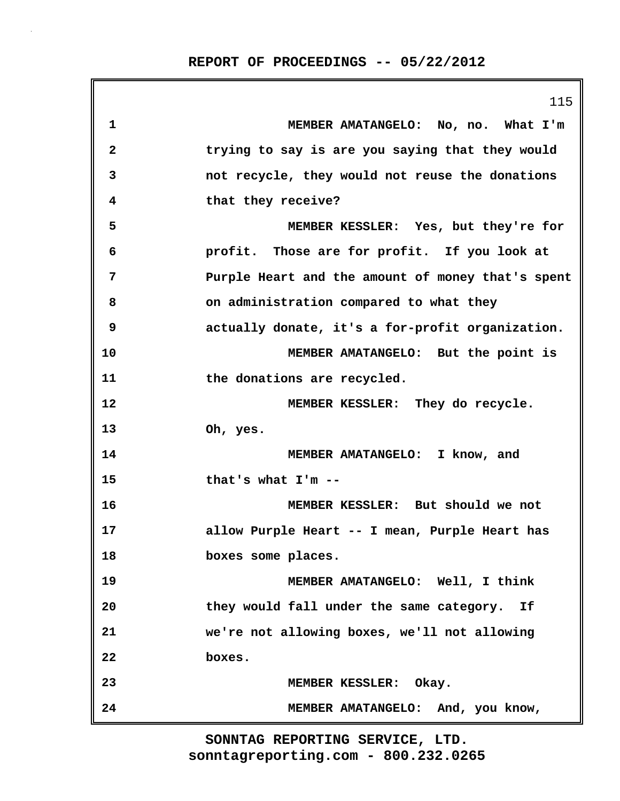|              | 115                                               |
|--------------|---------------------------------------------------|
| 1            | MEMBER AMATANGELO: No, no. What I'm               |
| $\mathbf{2}$ | trying to say is are you saying that they would   |
| 3            | not recycle, they would not reuse the donations   |
| 4            | that they receive?                                |
| 5            | MEMBER KESSLER: Yes, but they're for              |
| 6            | profit. Those are for profit. If you look at      |
| 7            | Purple Heart and the amount of money that's spent |
| 8            | on administration compared to what they           |
| 9            | actually donate, it's a for-profit organization.  |
| 10           | MEMBER AMATANGELO: But the point is               |
| 11           | the donations are recycled.                       |
| 12           | MEMBER KESSLER: They do recycle.                  |
| 13           | Oh, yes.                                          |
| 14           | MEMBER AMATANGELO: I know, and                    |
| 15           | that's what I'm --                                |
| 16           | MEMBER KESSLER: But should we not                 |
| 17           | allow Purple Heart -- I mean, Purple Heart has    |
| 18           | boxes some places.                                |
| 19           | MEMBER AMATANGELO: Well, I think                  |
| 20           | they would fall under the same category. If       |
| 21           | we're not allowing boxes, we'll not allowing      |
| 22           | boxes.                                            |
| 23           | MEMBER KESSLER: Okay.                             |
| 24           | MEMBER AMATANGELO: And, you know,                 |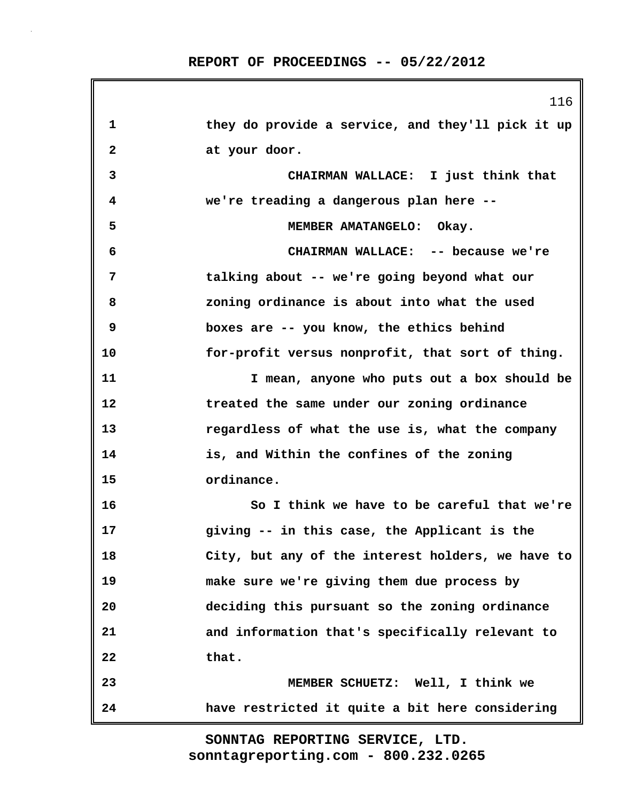|              | 116                                               |
|--------------|---------------------------------------------------|
| 1            | they do provide a service, and they'll pick it up |
| $\mathbf{2}$ | at your door.                                     |
| 3            | CHAIRMAN WALLACE: I just think that               |
| 4            | we're treading a dangerous plan here --           |
| 5            | MEMBER AMATANGELO: Okay.                          |
| 6            | CHAIRMAN WALLACE: -- because we're                |
| 7            | talking about -- we're going beyond what our      |
| 8            | zoning ordinance is about into what the used      |
| 9            | boxes are -- you know, the ethics behind          |
| 10           | for-profit versus nonprofit, that sort of thing.  |
| 11           | I mean, anyone who puts out a box should be       |
| 12           | treated the same under our zoning ordinance       |
| 13           | regardless of what the use is, what the company   |
| 14           | is, and Within the confines of the zoning         |
| 15           | ordinance.                                        |
| 16           | So I think we have to be careful that we're       |
| 17           | giving -- in this case, the Applicant is the      |
| 18           | City, but any of the interest holders, we have to |
| 19           | make sure we're giving them due process by        |
| 20           | deciding this pursuant so the zoning ordinance    |
| 21           | and information that's specifically relevant to   |
| 22           | that.                                             |
| 23           | MEMBER SCHUETZ: Well, I think we                  |
| 24           | have restricted it quite a bit here considering   |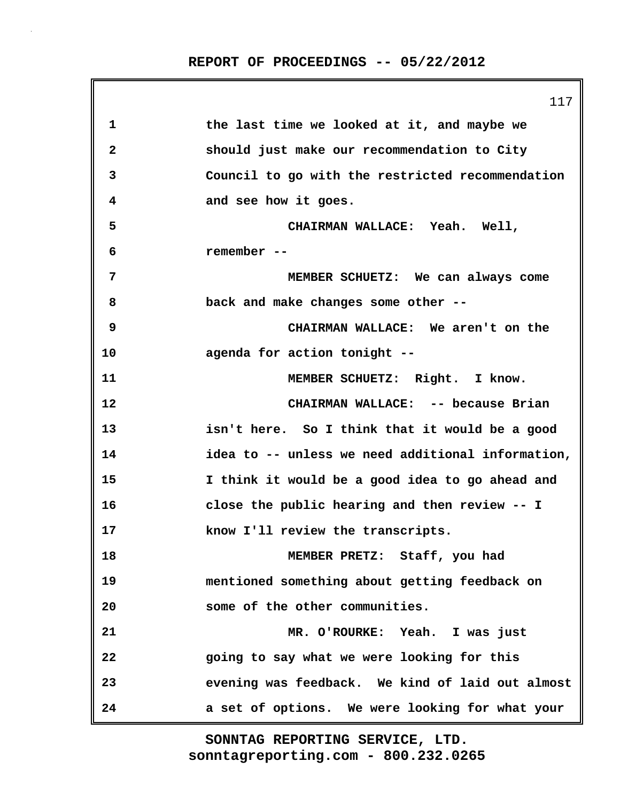117 **1 the last time we looked at it, and maybe we 2 should just make our recommendation to City 3 Council to go with the restricted recommendation 4 and see how it goes. 5 CHAIRMAN WALLACE: Yeah. Well, 6 remember -- 7 MEMBER SCHUETZ: We can always come 8 back and make changes some other -- 9 CHAIRMAN WALLACE: We aren't on the 10 agenda for action tonight -- 11 MEMBER SCHUETZ: Right. I know. 12 CHAIRMAN WALLACE: -- because Brian 13 isn't here. So I think that it would be a good 14 idea to -- unless we need additional information, 15 I think it would be a good idea to go ahead and 16 close the public hearing and then review -- I 17 know I'll review the transcripts. 18 MEMBER PRETZ: Staff, you had 19 mentioned something about getting feedback on 20 some of the other communities. 21 MR. O'ROURKE: Yeah. I was just 22 going to say what we were looking for this 23 evening was feedback. We kind of laid out almost 24 a set of options. We were looking for what your**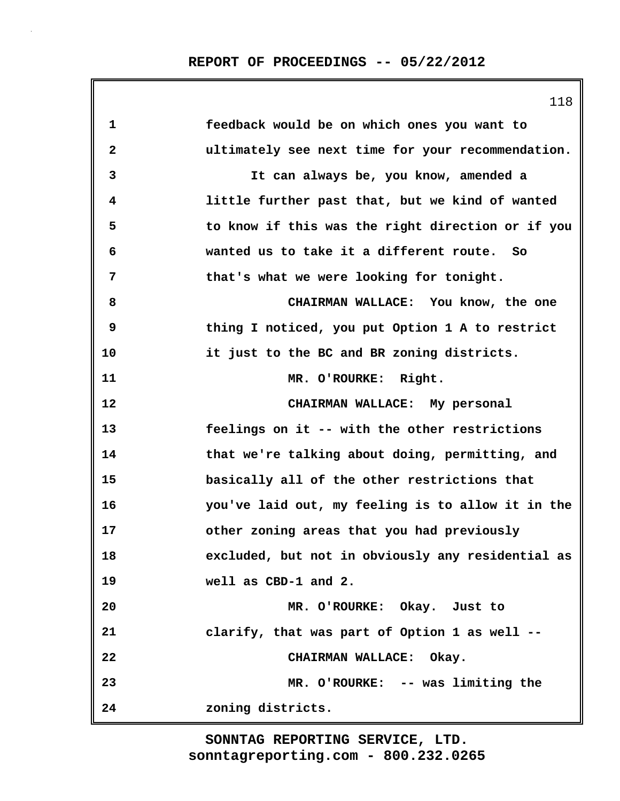|              | 118                                               |
|--------------|---------------------------------------------------|
| 1            | feedback would be on which ones you want to       |
| $\mathbf{2}$ | ultimately see next time for your recommendation. |
| 3            | It can always be, you know, amended a             |
| 4            | little further past that, but we kind of wanted   |
| 5            | to know if this was the right direction or if you |
| 6            | wanted us to take it a different route. So        |
| 7            | that's what we were looking for tonight.          |
| 8            | CHAIRMAN WALLACE: You know, the one               |
| 9            | thing I noticed, you put Option 1 A to restrict   |
| 10           | it just to the BC and BR zoning districts.        |
| 11           | MR. O'ROURKE: Right.                              |
| 12           | CHAIRMAN WALLACE: My personal                     |
| 13           | feelings on it -- with the other restrictions     |
| 14           | that we're talking about doing, permitting, and   |
| 15           | basically all of the other restrictions that      |
| 16           | you've laid out, my feeling is to allow it in the |
| 17           | other zoning areas that you had previously        |
| 18           | excluded, but not in obviously any residential as |
| 19           | well as CBD-1 and 2.                              |
| 20           | MR. O'ROURKE: Okay. Just to                       |
| 21           | clarify, that was part of Option 1 as well --     |
| 22           | CHAIRMAN WALLACE: Okay.                           |
| 23           | MR. O'ROURKE: -- was limiting the                 |
| 24           | zoning districts.                                 |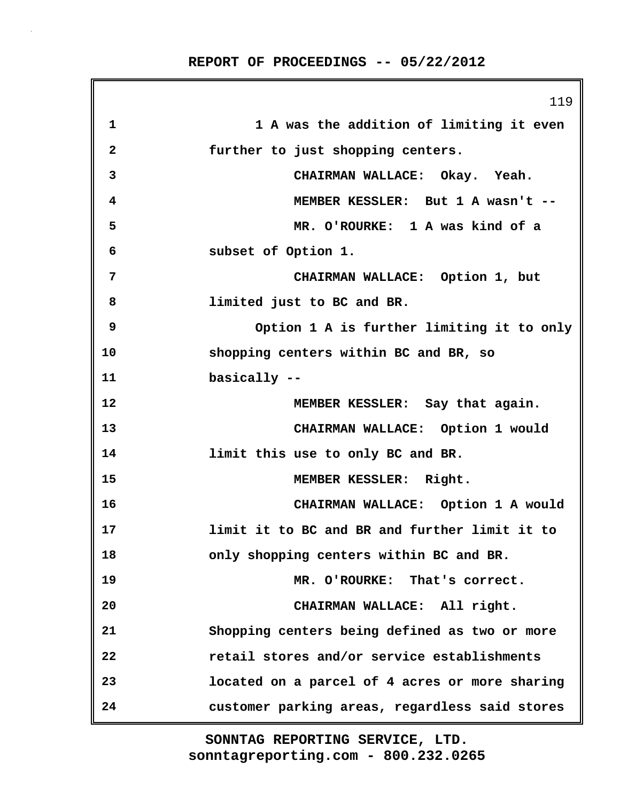|              | 119                                            |
|--------------|------------------------------------------------|
| 1            | 1 A was the addition of limiting it even       |
| $\mathbf{2}$ | further to just shopping centers.              |
| 3            | CHAIRMAN WALLACE: Okay. Yeah.                  |
| 4            | MEMBER KESSLER: But 1 A wasn't --              |
| 5            | MR. O'ROURKE: 1 A was kind of a                |
| 6            | subset of Option 1.                            |
| 7            | CHAIRMAN WALLACE: Option 1, but                |
| 8            | limited just to BC and BR.                     |
| 9            | Option 1 A is further limiting it to only      |
| 10           | shopping centers within BC and BR, so          |
| 11           | basically --                                   |
| 12           | MEMBER KESSLER: Say that again.                |
| 13           | CHAIRMAN WALLACE: Option 1 would               |
| 14           | limit this use to only BC and BR.              |
| 15           | MEMBER KESSLER: Right.                         |
| 16           | CHAIRMAN WALLACE: Option 1 A would             |
| 17           | limit it to BC and BR and further limit it to  |
| 18           | only shopping centers within BC and BR.        |
| 19           | MR. O'ROURKE: That's correct.                  |
| 20           | CHAIRMAN WALLACE: All right.                   |
| 21           | Shopping centers being defined as two or more  |
| 22           | retail stores and/or service establishments    |
| 23           | located on a parcel of 4 acres or more sharing |
| 24           | customer parking areas, regardless said stores |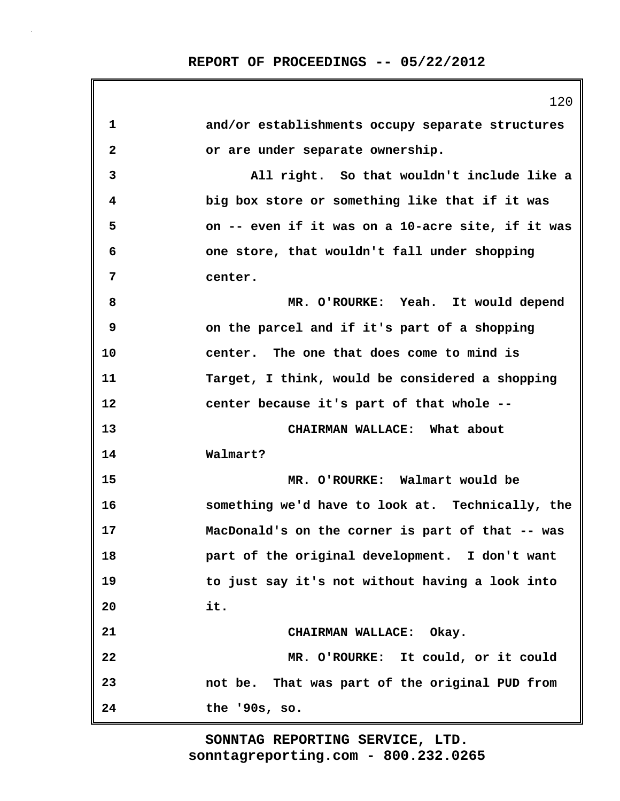|                         | 120                                               |
|-------------------------|---------------------------------------------------|
| 1                       | and/or establishments occupy separate structures  |
| $\overline{\mathbf{2}}$ | or are under separate ownership.                  |
| 3                       | All right. So that wouldn't include like a        |
| 4                       | big box store or something like that if it was    |
| 5                       | on -- even if it was on a 10-acre site, if it was |
| 6                       | one store, that wouldn't fall under shopping      |
| 7                       | center.                                           |
| 8                       | MR. O'ROURKE: Yeah. It would depend               |
| 9                       | on the parcel and if it's part of a shopping      |
| 10                      | center. The one that does come to mind is         |
| 11                      | Target, I think, would be considered a shopping   |
| 12                      | center because it's part of that whole --         |
| 13                      | CHAIRMAN WALLACE: What about                      |
| 14                      | Walmart?                                          |
| 15                      | MR. O'ROURKE: Walmart would be                    |
| 16                      | something we'd have to look at. Technically, the  |
| 17                      | MacDonald's on the corner is part of that -- was  |
| 18                      | part of the original development. I don't want    |
| 19                      | to just say it's not without having a look into   |
| 20                      | it.                                               |
| 21                      | CHAIRMAN WALLACE: Okay.                           |
| 22                      | MR. O'ROURKE: It could, or it could               |
| 23                      | not be. That was part of the original PUD from    |
| 24                      | the '90s, so.                                     |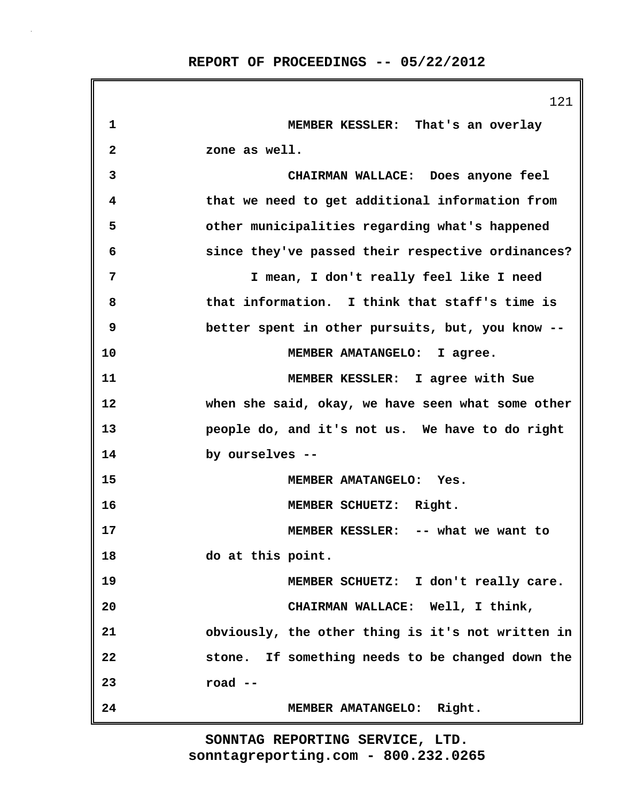|             | 121                                               |
|-------------|---------------------------------------------------|
| $\mathbf 1$ | MEMBER KESSLER: That's an overlay                 |
| 2           | zone as well.                                     |
| 3           | CHAIRMAN WALLACE: Does anyone feel                |
| 4           | that we need to get additional information from   |
| 5           | other municipalities regarding what's happened    |
| 6           | since they've passed their respective ordinances? |
| 7           | I mean, I don't really feel like I need           |
| 8           | that information. I think that staff's time is    |
| 9           | better spent in other pursuits, but, you know --  |
| 10          | MEMBER AMATANGELO: I agree.                       |
| 11          | MEMBER KESSLER: I agree with Sue                  |
| 12          | when she said, okay, we have seen what some other |
| 13          | people do, and it's not us. We have to do right   |
| 14          | by ourselves --                                   |
| 15          | MEMBER AMATANGELO: Yes.                           |
| 16          | MEMBER SCHUETZ: Right.                            |
| 17          | MEMBER KESSLER: -- what we want to                |
| 18          | do at this point.                                 |
| 19          | MEMBER SCHUETZ: I don't really care.              |
| 20          | CHAIRMAN WALLACE: Well, I think,                  |
| 21          | obviously, the other thing is it's not written in |
| 22          | stone. If something needs to be changed down the  |
| 23          | road --                                           |
| 24          | MEMBER AMATANGELO: Right.                         |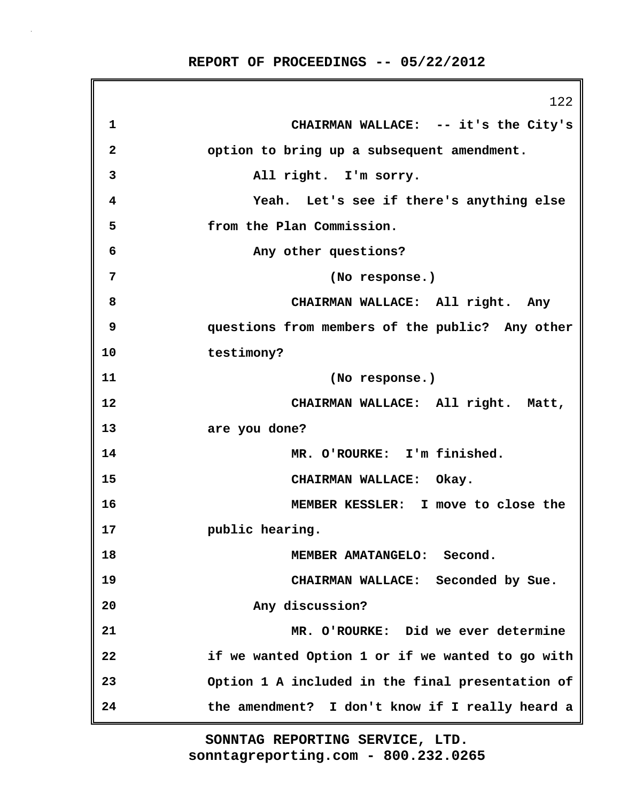122 **1 CHAIRMAN WALLACE: -- it's the City's 2 option to bring up a subsequent amendment. 3 All right. I'm sorry. 4 Yeah. Let's see if there's anything else 5 from the Plan Commission. 6 Any other questions? 7 (No response.) 8 CHAIRMAN WALLACE: All right. Any 9 questions from members of the public? Any other 10 testimony? 11 (No response.) 12 CHAIRMAN WALLACE: All right. Matt, 13 are you done? 14 MR. O'ROURKE: I'm finished. 15 CHAIRMAN WALLACE: Okay. 16 MEMBER KESSLER: I move to close the 17 public hearing. 18 MEMBER AMATANGELO: Second. 19 CHAIRMAN WALLACE: Seconded by Sue. 20 Any discussion? 21 MR. O'ROURKE: Did we ever determine 22 if we wanted Option 1 or if we wanted to go with 23 Option 1 A included in the final presentation of 24 the amendment? I don't know if I really heard a**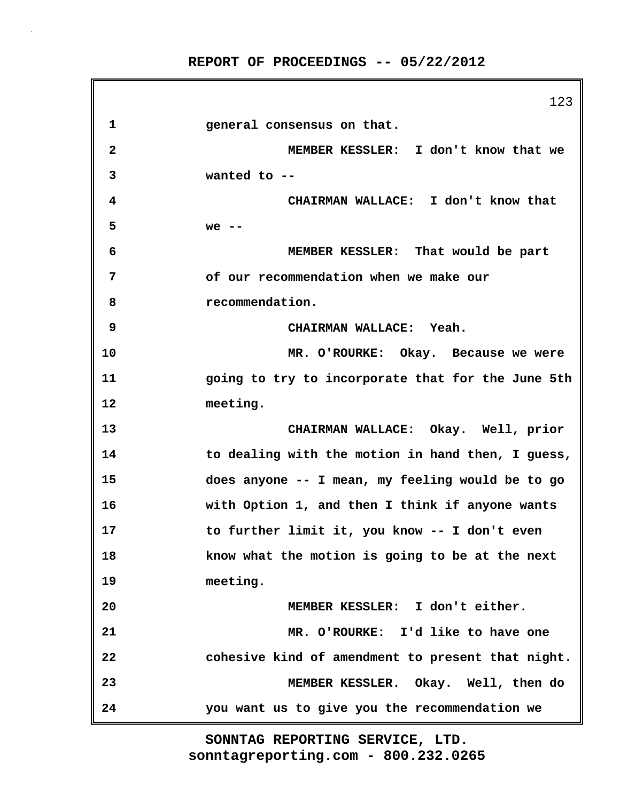123 **1 general consensus on that. 2 MEMBER KESSLER: I don't know that we 3 wanted to -- 4 CHAIRMAN WALLACE: I don't know that 5 we -- 6 MEMBER KESSLER: That would be part 7 of our recommendation when we make our 8 recommendation. 9 CHAIRMAN WALLACE: Yeah. 10 MR. O'ROURKE: Okay. Because we were 11 going to try to incorporate that for the June 5th 12 meeting. 13 CHAIRMAN WALLACE: Okay. Well, prior 14 to dealing with the motion in hand then, I guess, 15 does anyone -- I mean, my feeling would be to go 16 with Option 1, and then I think if anyone wants 17 to further limit it, you know -- I don't even 18 know what the motion is going to be at the next 19 meeting. 20 MEMBER KESSLER: I don't either. 21 MR. O'ROURKE: I'd like to have one 22 cohesive kind of amendment to present that night. 23 MEMBER KESSLER. Okay. Well, then do 24 you want us to give you the recommendation we**

> **sonntagreporting.com - 800.232.0265 SONNTAG REPORTING SERVICE, LTD.**

> **REPORT OF PROCEEDINGS -- 05/22/2012**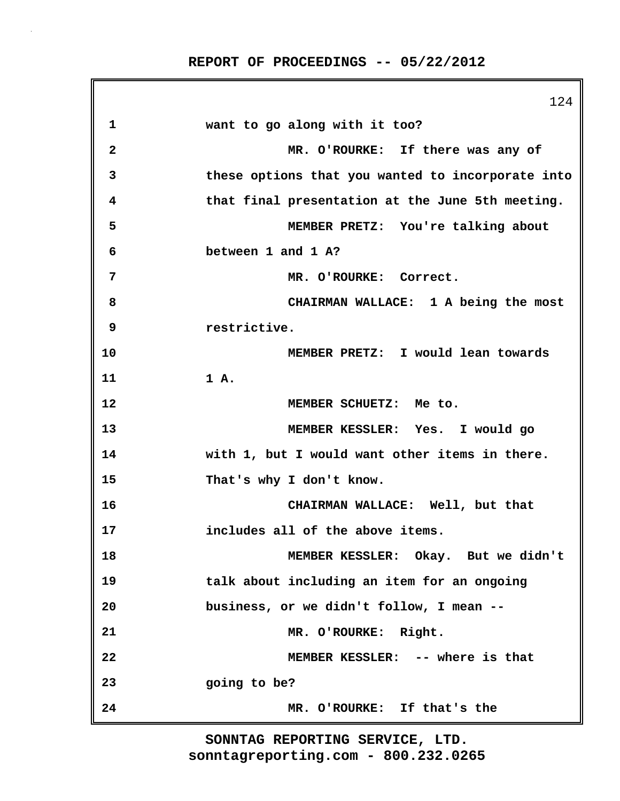|                         | 124                                               |
|-------------------------|---------------------------------------------------|
| 1                       | want to go along with it too?                     |
| $\overline{\mathbf{2}}$ | MR. O'ROURKE: If there was any of                 |
| 3                       | these options that you wanted to incorporate into |
| 4                       | that final presentation at the June 5th meeting.  |
| 5                       | MEMBER PRETZ: You're talking about                |
| 6                       | between 1 and 1 A?                                |
| 7                       | MR. O'ROURKE: Correct.                            |
| 8                       | CHAIRMAN WALLACE: 1 A being the most              |
| 9                       | restrictive.                                      |
| 10                      | MEMBER PRETZ: I would lean towards                |
| 11                      | 1 A.                                              |
| 12                      | MEMBER SCHUETZ: Me to.                            |
| 13                      | MEMBER KESSLER: Yes. I would go                   |
| 14                      | with 1, but I would want other items in there.    |
| 15                      | That's why I don't know.                          |
| 16                      | CHAIRMAN WALLACE: Well, but that                  |
| 17                      | includes all of the above items.                  |
| 18                      | MEMBER KESSLER: Okay. But we didn't               |
| 19                      | talk about including an item for an ongoing       |
| 20                      | business, or we didn't follow, I mean --          |
| 21                      | MR. O'ROURKE: Right.                              |
| 22                      | MEMBER KESSLER: -- where is that                  |
| 23                      | going to be?                                      |
| 24                      | MR. O'ROURKE: If that's the                       |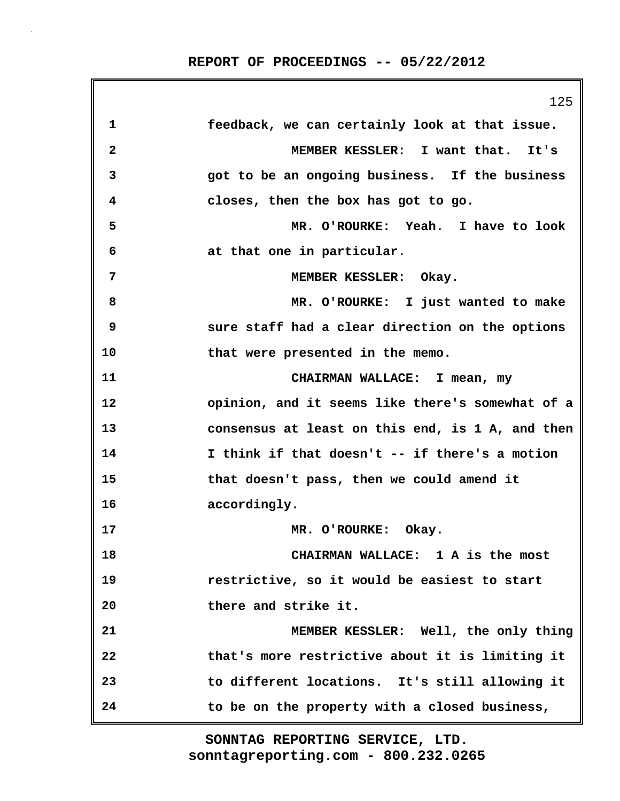|              | 125                                              |
|--------------|--------------------------------------------------|
| 1            | feedback, we can certainly look at that issue.   |
| $\mathbf{2}$ | MEMBER KESSLER: I want that. It's                |
| 3            | got to be an ongoing business. If the business   |
| 4            | closes, then the box has got to go.              |
| 5            | MR. O'ROURKE: Yeah. I have to look               |
| 6            | at that one in particular.                       |
| 7            | MEMBER KESSLER: Okay.                            |
| 8            | MR. O'ROURKE: I just wanted to make              |
| 9            | sure staff had a clear direction on the options  |
| 10           | that were presented in the memo.                 |
| 11           | CHAIRMAN WALLACE: I mean, my                     |
| 12           | opinion, and it seems like there's somewhat of a |
| 13           | consensus at least on this end, is 1 A, and then |
| 14           | I think if that doesn't -- if there's a motion   |
| 15           | that doesn't pass, then we could amend it        |
| 16           | accordingly.                                     |
| 17           | MR. O'ROURKE:<br>Okay.                           |
| 18           | CHAIRMAN WALLACE: 1 A is the most                |
| 19           | restrictive, so it would be easiest to start     |
| 20           | there and strike it.                             |
| 21           | MEMBER KESSLER: Well, the only thing             |
| 22           | that's more restrictive about it is limiting it  |
| 23           | to different locations. It's still allowing it   |
| 24           | to be on the property with a closed business,    |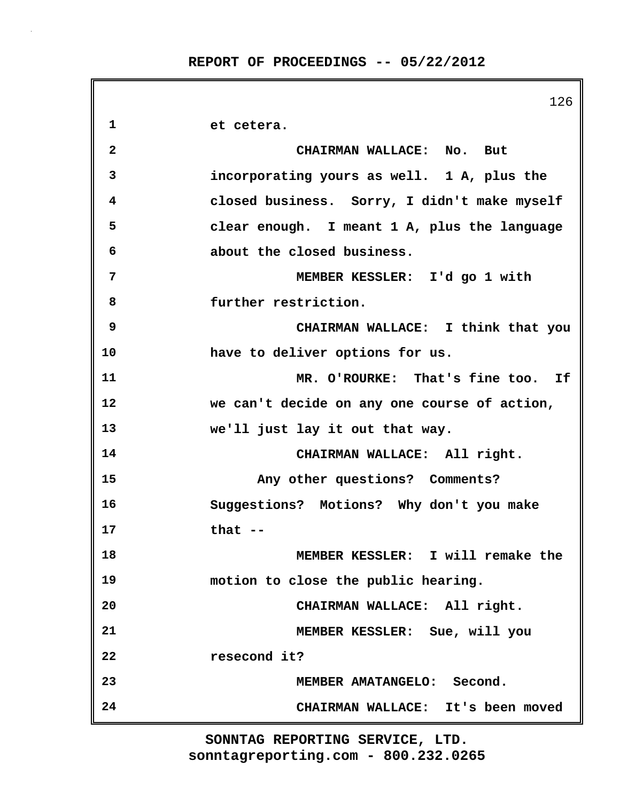|    | 126                                          |
|----|----------------------------------------------|
| 1  | et cetera.                                   |
| 2  | CHAIRMAN WALLACE: No. But                    |
| 3  | incorporating yours as well. 1 A, plus the   |
| 4  | closed business. Sorry, I didn't make myself |
| 5  | clear enough. I meant 1 A, plus the language |
| 6  | about the closed business.                   |
| 7  | MEMBER KESSLER: I'd go 1 with                |
| 8  | further restriction.                         |
| 9  | CHAIRMAN WALLACE: I think that you           |
| 10 | have to deliver options for us.              |
| 11 | MR. O'ROURKE: That's fine too. If            |
| 12 | we can't decide on any one course of action, |
| 13 | we'll just lay it out that way.              |
| 14 | CHAIRMAN WALLACE: All right.                 |
| 15 | Any other questions? Comments?               |
| 16 | Suggestions? Motions? Why don't you make     |
| 17 | that $-$                                     |
| 18 | MEMBER KESSLER: I will remake the            |
| 19 | motion to close the public hearing.          |
| 20 | CHAIRMAN WALLACE: All right.                 |
| 21 | MEMBER KESSLER: Sue, will you                |
| 22 | resecond it?                                 |
| 23 | MEMBER AMATANGELO: Second.                   |
| 24 | CHAIRMAN WALLACE: It's been moved            |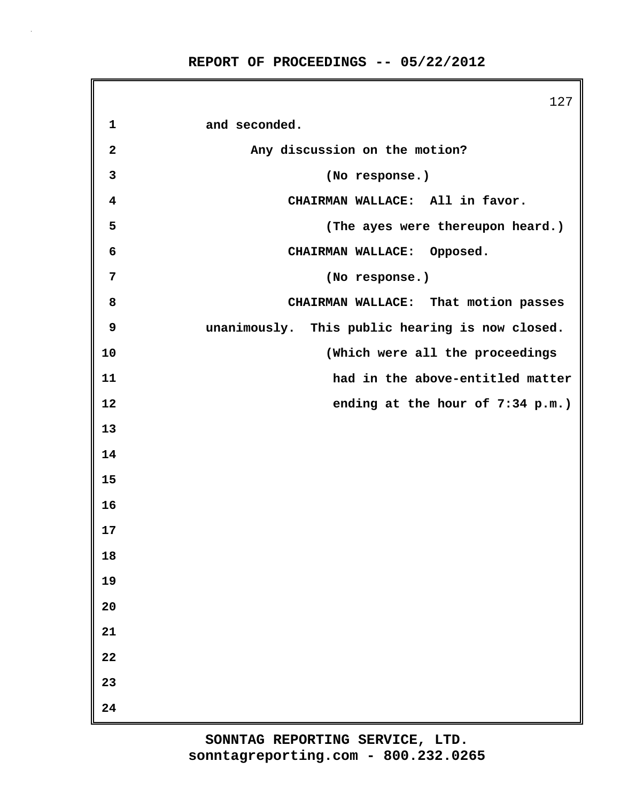127 **1 and seconded. 2 Any discussion on the motion? 3 (No response.) 4 CHAIRMAN WALLACE: All in favor. 5 (The ayes were thereupon heard.) 6 CHAIRMAN WALLACE: Opposed. 7 (No response.) 8 CHAIRMAN WALLACE: That motion passes 9 unanimously. This public hearing is now closed. 10 (Which were all the proceedings 11 had in the above-entitled matter 12 ending at the hour of 7:34 p.m.) 13 14 15 16 17 18 19 20 21 22 23 24**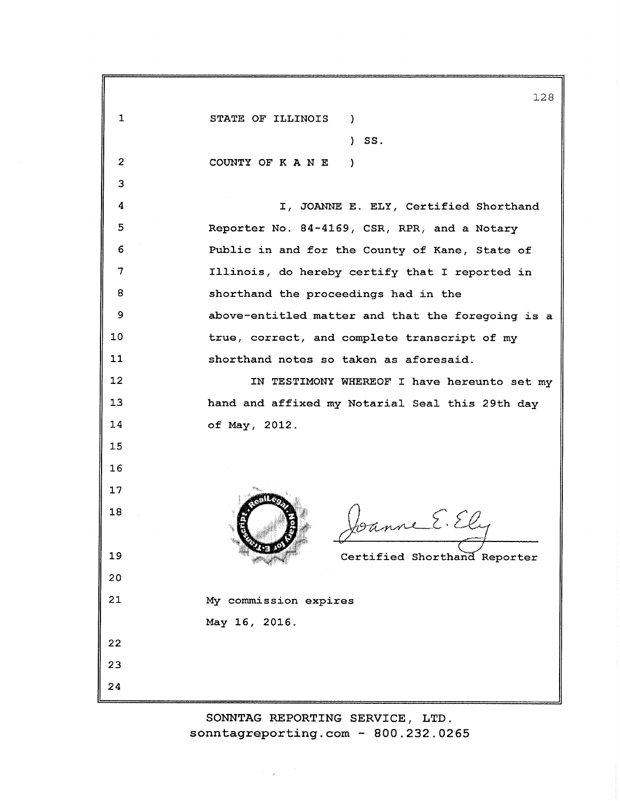|    | 128                                               |
|----|---------------------------------------------------|
| 1  | STATE OF ILLINOIS<br>$\mathcal{L}$                |
|    | SS.                                               |
| 2  | COUNTY OF K A N E<br>-1                           |
| 3  |                                                   |
| 4  | I, JOANNE E. ELY, Certified Shorthand             |
| 5  | Reporter No. 84-4169, CSR, RPR, and a Notary      |
| 6  | Public in and for the County of Kane, State of    |
| 7  | Illinois, do hereby certify that I reported in    |
| 8  | shorthand the proceedings had in the              |
| 9  | above-entitled matter and that the foregoing is a |
| 10 | true, correct, and complete transcript of my      |
| 11 | shorthand notes so taken as aforesaid.            |
| 12 | IN TESTIMONY WHEREOF I have hereunto set my       |
| 13 | hand and affixed my Notarial Seal this 29th day   |
| 14 | of May, 2012.                                     |
| 15 |                                                   |
| 16 |                                                   |
| 17 |                                                   |
| 18 | banne E. Ely                                      |
| 19 | Certified Shorthand Reporter                      |
| 20 |                                                   |
| 21 | My commission expires                             |
|    | May 16, 2016.                                     |
| 22 |                                                   |
| 23 |                                                   |
| 24 |                                                   |

SONNTAG REPORTING SERVICE, LTD. sonntagreporting.com -  $800.232.0265$ 

 $\mathcal{I}=\mathcal{J}$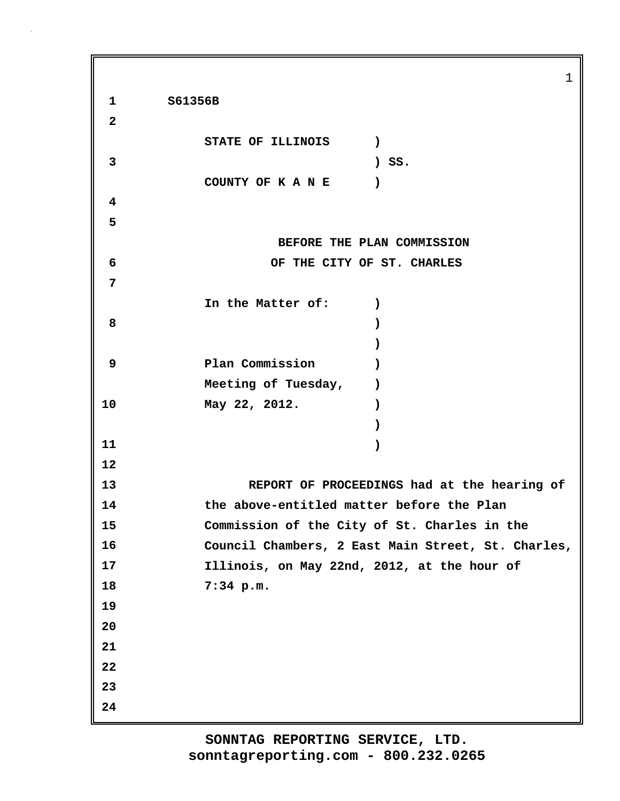1 **1 S61356B 2 STATE OF ILLINOIS ) 3 ) SS. COUNTY OF K A N E ) 4 5 BEFORE THE PLAN COMMISSION 6 OF THE CITY OF ST. CHARLES 7 In the Matter of: ) 8 ) ) 9 Plan Commission )** Meeting of Tuesday,  $)$ **10 May 22, 2012. ) ) 11 ) 12 13 REPORT OF PROCEEDINGS had at the hearing of 14 the above-entitled matter before the Plan 15 Commission of the City of St. Charles in the 16 Council Chambers, 2 East Main Street, St. Charles, 17 Illinois, on May 22nd, 2012, at the hour of 18 7:34 p.m. 19 20 21 22 23 24**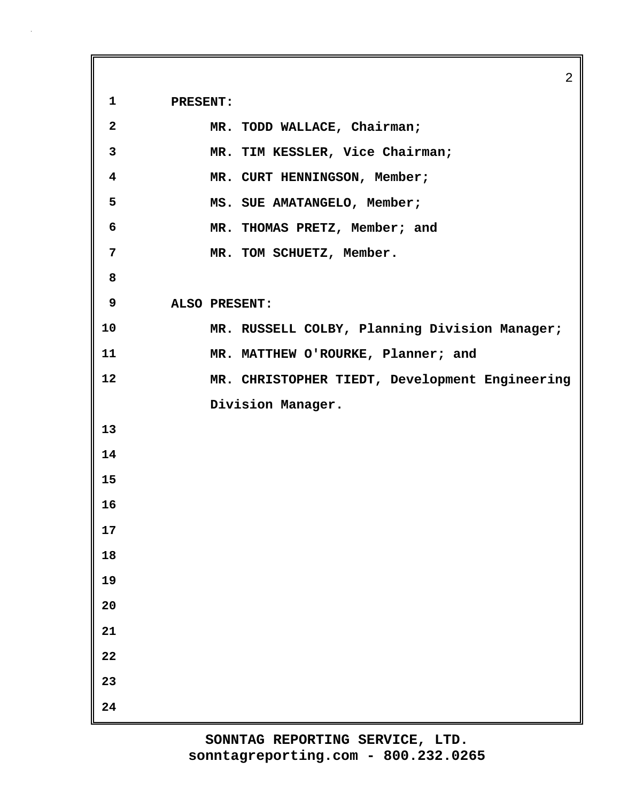**1 PRESENT:**

| $\overline{2}$          | MR. TODD WALLACE, Chairman;                    |
|-------------------------|------------------------------------------------|
| $\mathbf{3}$            | MR. TIM KESSLER, Vice Chairman;                |
| $\overline{\mathbf{4}}$ | MR. CURT HENNINGSON, Member;                   |
| 5                       | MS. SUE AMATANGELO, Member;                    |
| 6                       | MR. THOMAS PRETZ, Member; and                  |
| 7                       | MR. TOM SCHUETZ, Member.                       |
| 8                       |                                                |
| 9                       | ALSO PRESENT:                                  |
| 10                      | MR. RUSSELL COLBY, Planning Division Manager;  |
| 11                      | MR. MATTHEW O'ROURKE, Planner; and             |
| 12                      | MR. CHRISTOPHER TIEDT, Development Engineering |
|                         | Division Manager.                              |
| 13                      |                                                |
| 14                      |                                                |
| 15                      |                                                |
| 16                      |                                                |
| 17                      |                                                |
| 18                      |                                                |
| 19                      |                                                |
| 20                      |                                                |
| 21                      |                                                |
| 22                      |                                                |
| 23                      |                                                |
| 24                      |                                                |

2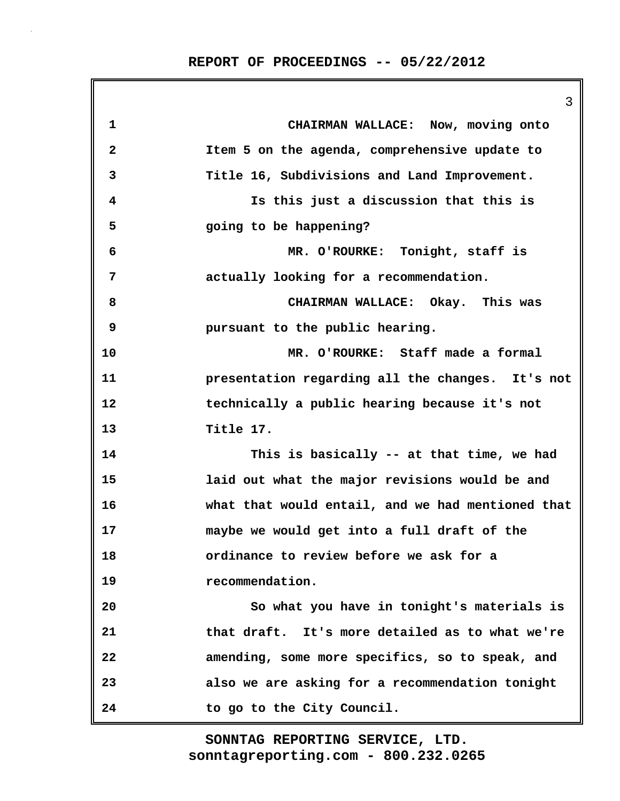3 **1 CHAIRMAN WALLACE: Now, moving onto 2 Item 5 on the agenda, comprehensive update to 3 Title 16, Subdivisions and Land Improvement. 4 Is this just a discussion that this is 5 going to be happening? 6 MR. O'ROURKE: Tonight, staff is 7 actually looking for a recommendation. 8 CHAIRMAN WALLACE: Okay. This was 9 pursuant to the public hearing. 10 MR. O'ROURKE: Staff made a formal 11 presentation regarding all the changes. It's not 12 technically a public hearing because it's not 13 Title 17. 14 This is basically -- at that time, we had 15 laid out what the major revisions would be and 16 what that would entail, and we had mentioned that 17 maybe we would get into a full draft of the 18 ordinance to review before we ask for a 19 recommendation. 20 So what you have in tonight's materials is 21 that draft. It's more detailed as to what we're 22 amending, some more specifics, so to speak, and 23 also we are asking for a recommendation tonight 24 to go to the City Council.**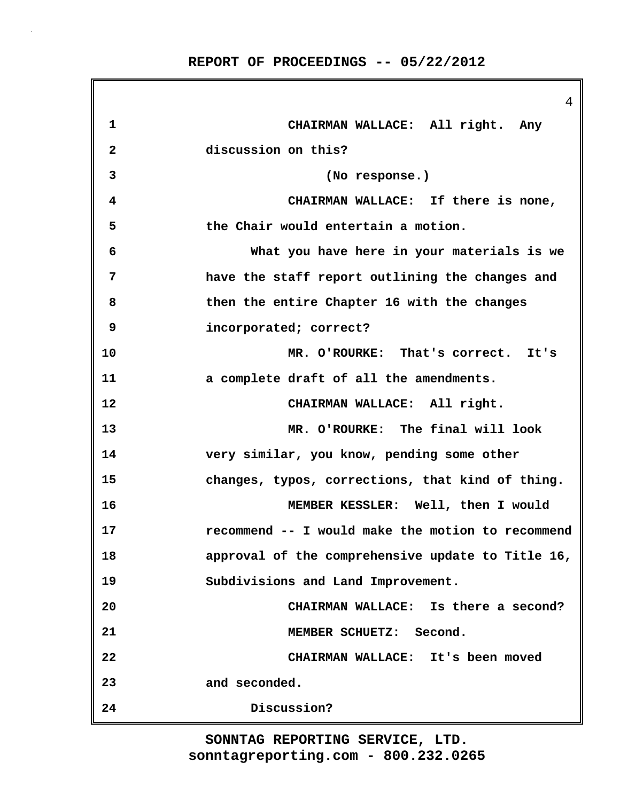|              | 4                                                 |
|--------------|---------------------------------------------------|
| 1            | CHAIRMAN WALLACE: All right. Any                  |
| $\mathbf{2}$ | discussion on this?                               |
| 3            | (No response.)                                    |
| 4            | CHAIRMAN WALLACE: If there is none,               |
| 5            | the Chair would entertain a motion.               |
| 6            | What you have here in your materials is we        |
| 7            | have the staff report outlining the changes and   |
| 8            | then the entire Chapter 16 with the changes       |
| 9            | incorporated; correct?                            |
| 10           | MR. O'ROURKE: That's correct. It's                |
| 11           | a complete draft of all the amendments.           |
| 12           | CHAIRMAN WALLACE: All right.                      |
| 13           | MR. O'ROURKE: The final will look                 |
| 14           | very similar, you know, pending some other        |
| 15           | changes, typos, corrections, that kind of thing.  |
| 16           | MEMBER KESSLER: Well, then I would                |
| 17           | recommend -- I would make the motion to recommend |
| 18           | approval of the comprehensive update to Title 16, |
| 19           | Subdivisions and Land Improvement.                |
| 20           | CHAIRMAN WALLACE: Is there a second?              |
| 21           | MEMBER SCHUETZ: Second.                           |
| 22           | CHAIRMAN WALLACE: It's been moved                 |
| 23           | and seconded.                                     |
| 24           | Discussion?                                       |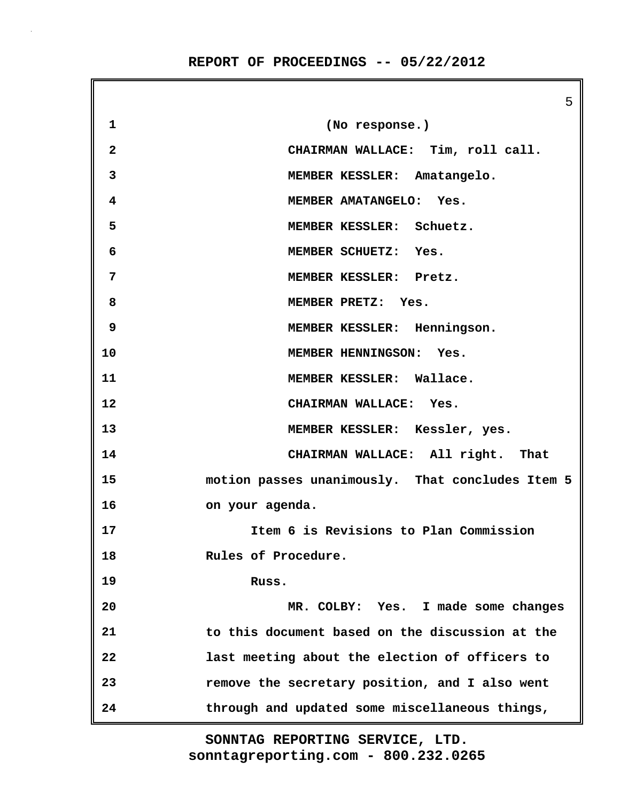5 **1 (No response.) 2 CHAIRMAN WALLACE: Tim, roll call. 3 MEMBER KESSLER: Amatangelo. 4 MEMBER AMATANGELO: Yes. 5 MEMBER KESSLER: Schuetz. 6 MEMBER SCHUETZ: Yes. 7 MEMBER KESSLER: Pretz. 8 MEMBER PRETZ: Yes. 9 MEMBER KESSLER: Henningson. 10 MEMBER HENNINGSON: Yes. 11 MEMBER KESSLER: Wallace. 12 CHAIRMAN WALLACE: Yes. 13 MEMBER KESSLER: Kessler, yes. 14 CHAIRMAN WALLACE: All right. That 15 motion passes unanimously. That concludes Item 5 16 on your agenda. 17 Item 6 is Revisions to Plan Commission 18 Rules of Procedure. 19 Russ. 20 MR. COLBY: Yes. I made some changes 21 to this document based on the discussion at the 22 last meeting about the election of officers to 23 remove the secretary position, and I also went 24 through and updated some miscellaneous things,**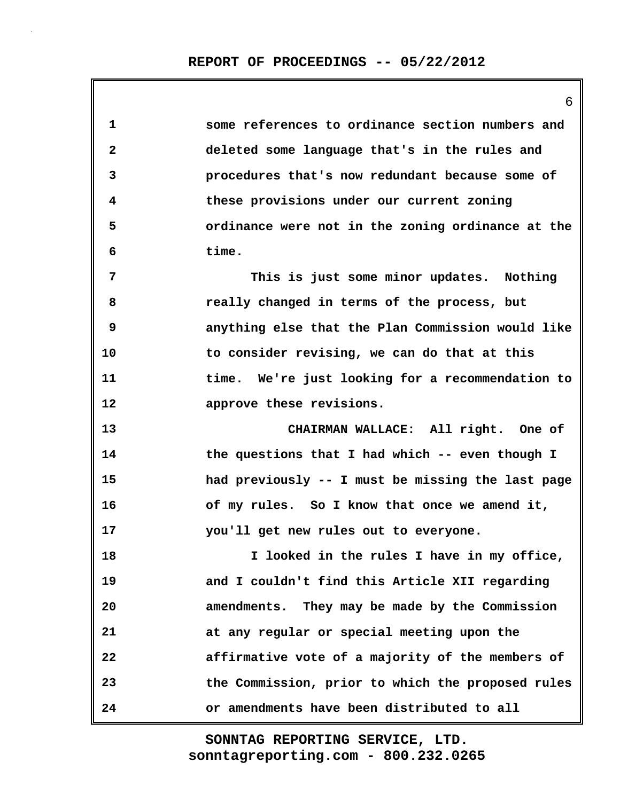6

**1 some references to ordinance section numbers and 2 deleted some language that's in the rules and 3 procedures that's now redundant because some of 4 these provisions under our current zoning 5 ordinance were not in the zoning ordinance at the 6 time. 7 This is just some minor updates. Nothing 8 really changed in terms of the process, but 9 anything else that the Plan Commission would like 10 to consider revising, we can do that at this 11 time. We're just looking for a recommendation to 12 approve these revisions. 13 CHAIRMAN WALLACE: All right. One of 14 the questions that I had which -- even though I 15 had previously -- I must be missing the last page 16 of my rules. So I know that once we amend it, 17 you'll get new rules out to everyone. 18 I looked in the rules I have in my office, 19 and I couldn't find this Article XII regarding 20 amendments. They may be made by the Commission 21 at any regular or special meeting upon the 22 affirmative vote of a majority of the members of 23 the Commission, prior to which the proposed rules 24 or amendments have been distributed to all**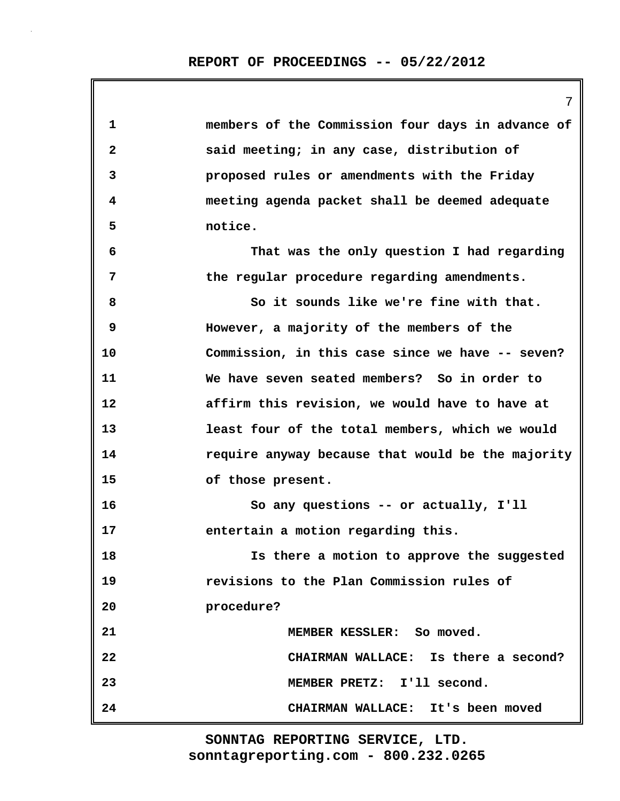7

| 1            | members of the Commission four days in advance of |
|--------------|---------------------------------------------------|
| $\mathbf{2}$ | said meeting; in any case, distribution of        |
| 3            | proposed rules or amendments with the Friday      |
| 4            | meeting agenda packet shall be deemed adequate    |
| 5            | notice.                                           |
| 6            | That was the only question I had regarding        |
| 7            | the regular procedure regarding amendments.       |
| 8            | So it sounds like we're fine with that.           |
| 9            | However, a majority of the members of the         |
| 10           | Commission, in this case since we have -- seven?  |
| 11           | We have seven seated members? So in order to      |
| 12           | affirm this revision, we would have to have at    |
| 13           | least four of the total members, which we would   |
| 14           | require anyway because that would be the majority |
| 15           | of those present.                                 |
| 16           | So any questions -- or actually, I'll             |
| 17           | entertain a motion regarding this.                |
| 18           | Is there a motion to approve the suggested        |
| 19           | revisions to the Plan Commission rules of         |
| 20           | procedure?                                        |
| 21           | MEMBER KESSLER: So moved.                         |
| 22           | CHAIRMAN WALLACE: Is there a second?              |
| 23           | MEMBER PRETZ: I'll second.                        |
| 24           | CHAIRMAN WALLACE: It's been moved                 |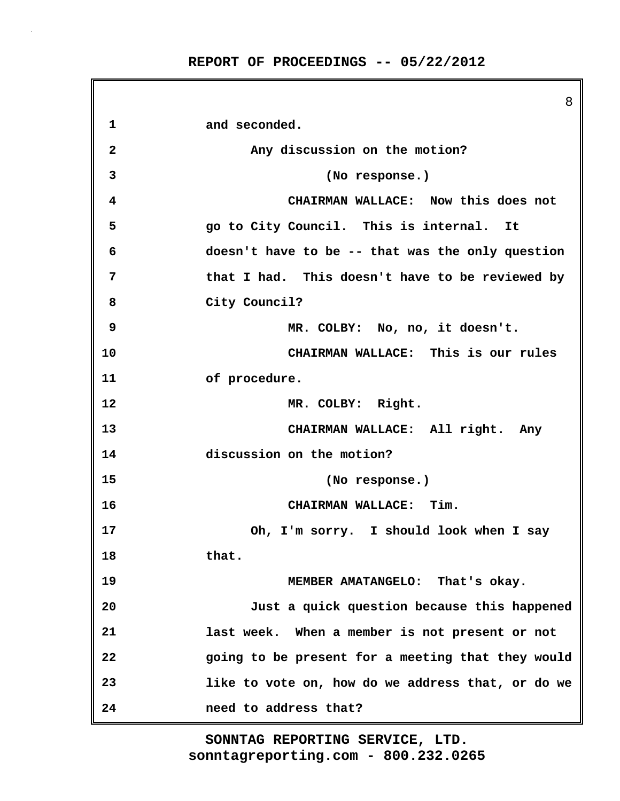|              | 8                                                 |
|--------------|---------------------------------------------------|
| 1            | and seconded.                                     |
| $\mathbf{2}$ | Any discussion on the motion?                     |
| 3            | (No response.)                                    |
| 4            | CHAIRMAN WALLACE: Now this does not               |
| 5            | go to City Council. This is internal. It          |
| 6            | doesn't have to be -- that was the only question  |
| 7            | that I had. This doesn't have to be reviewed by   |
| 8            | City Council?                                     |
| 9            | MR. COLBY: No, no, it doesn't.                    |
| 10           | CHAIRMAN WALLACE: This is our rules               |
| 11           | of procedure.                                     |
| 12           | MR. COLBY: Right.                                 |
| 13           | CHAIRMAN WALLACE: All right. Any                  |
| 14           | discussion on the motion?                         |
| 15           | (No response.)                                    |
| 16           | CHAIRMAN WALLACE: Tim.                            |
| 17           | Oh, I'm sorry. I should look when I say           |
| 18           | that.                                             |
| 19           | MEMBER AMATANGELO: That's okay.                   |
| 20           | Just a quick question because this happened       |
| 21           | last week. When a member is not present or not    |
| 22           | going to be present for a meeting that they would |
| 23           | like to vote on, how do we address that, or do we |
| 24           | need to address that?                             |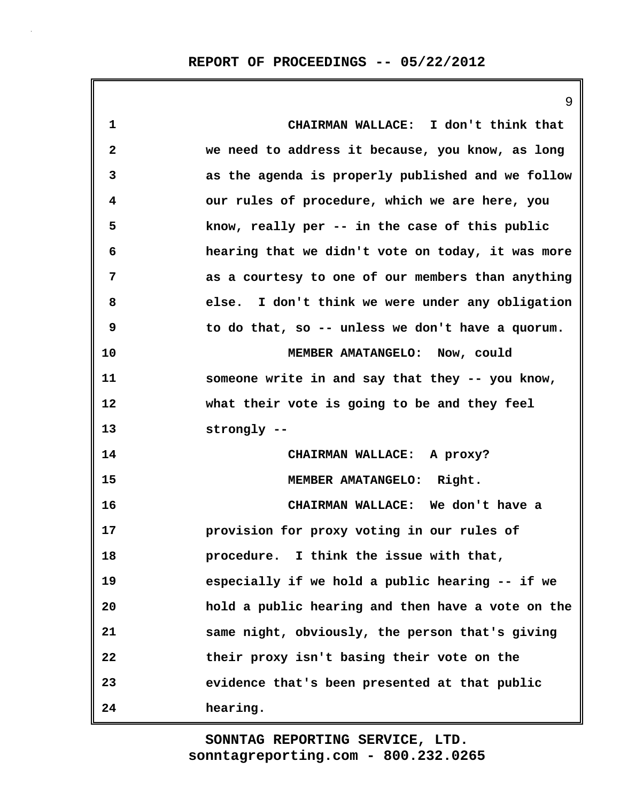|    | 9                                                 |
|----|---------------------------------------------------|
| 1  | CHAIRMAN WALLACE: I don't think that              |
| 2  | we need to address it because, you know, as long  |
| 3  | as the agenda is properly published and we follow |
| 4  | our rules of procedure, which we are here, you    |
| 5  | know, really per -- in the case of this public    |
| 6  | hearing that we didn't vote on today, it was more |
| 7  | as a courtesy to one of our members than anything |
| 8  | else. I don't think we were under any obligation  |
| 9  | to do that, so -- unless we don't have a quorum.  |
| 10 | MEMBER AMATANGELO: Now, could                     |
| 11 | someone write in and say that they -- you know,   |
| 12 | what their vote is going to be and they feel      |
| 13 | strongly --                                       |
| 14 | CHAIRMAN WALLACE: A proxy?                        |
| 15 | MEMBER AMATANGELO: Right.                         |
| 16 | CHAIRMAN WALLACE: We don't have a                 |
| 17 | provision for proxy voting in our rules of        |
| 18 | procedure. I think the issue with that,           |
| 19 | especially if we hold a public hearing -- if we   |
| 20 | hold a public hearing and then have a vote on the |
| 21 | same night, obviously, the person that's giving   |
| 22 | their proxy isn't basing their vote on the        |
| 23 | evidence that's been presented at that public     |
| 24 | hearing.                                          |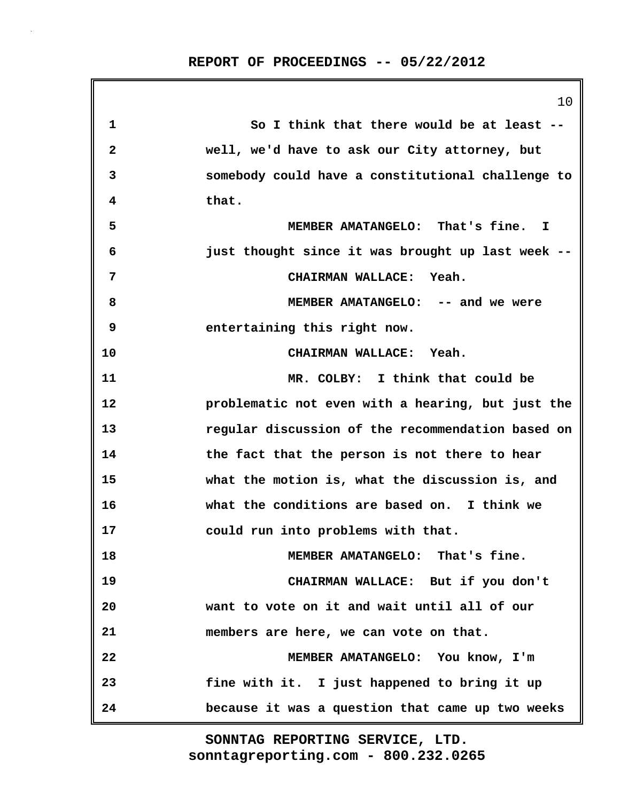|              | 10                                                |
|--------------|---------------------------------------------------|
| 1            | So I think that there would be at least --        |
| $\mathbf{2}$ | well, we'd have to ask our City attorney, but     |
| 3            | somebody could have a constitutional challenge to |
| 4            | that.                                             |
| 5            | MEMBER AMATANGELO: That's fine. I                 |
| 6            | just thought since it was brought up last week -- |
| 7            | CHAIRMAN WALLACE: Yeah.                           |
| 8            | MEMBER AMATANGELO: -- and we were                 |
| 9            | entertaining this right now.                      |
| 10           | CHAIRMAN WALLACE: Yeah.                           |
| 11           | MR. COLBY: I think that could be                  |
| 12           | problematic not even with a hearing, but just the |
| 13           | regular discussion of the recommendation based on |
| 14           | the fact that the person is not there to hear     |
| 15           | what the motion is, what the discussion is, and   |
| 16           | what the conditions are based on. I think we      |
| 17           | could run into problems with that.                |
| 18           | MEMBER AMATANGELO: That's fine.                   |
| 19           | CHAIRMAN WALLACE: But if you don't                |
| 20           | want to vote on it and wait until all of our      |
| 21           | members are here, we can vote on that.            |
| 22           | MEMBER AMATANGELO: You know, I'm                  |
| 23           | fine with it. I just happened to bring it up      |
| 24           | because it was a question that came up two weeks  |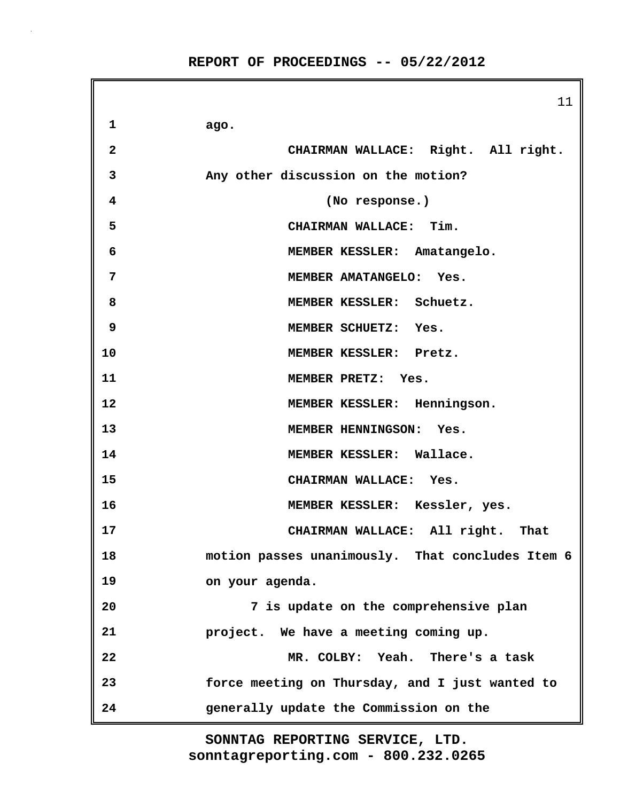11 **1 ago. 2 CHAIRMAN WALLACE: Right. All right. 3 Any other discussion on the motion? 4 (No response.) 5 CHAIRMAN WALLACE: Tim. 6 MEMBER KESSLER: Amatangelo. 7 MEMBER AMATANGELO: Yes. 8 MEMBER KESSLER: Schuetz. 9 MEMBER SCHUETZ: Yes. 10 MEMBER KESSLER: Pretz. 11 MEMBER PRETZ: Yes. 12 MEMBER KESSLER: Henningson. 13 MEMBER HENNINGSON: Yes. 14 MEMBER KESSLER: Wallace. 15 CHAIRMAN WALLACE: Yes. 16 MEMBER KESSLER: Kessler, yes. 17 CHAIRMAN WALLACE: All right. That 18 motion passes unanimously. That concludes Item 6 19 on your agenda. 20 7 is update on the comprehensive plan 21 project. We have a meeting coming up. 22 MR. COLBY: Yeah. There's a task 23 force meeting on Thursday, and I just wanted to 24 generally update the Commission on the**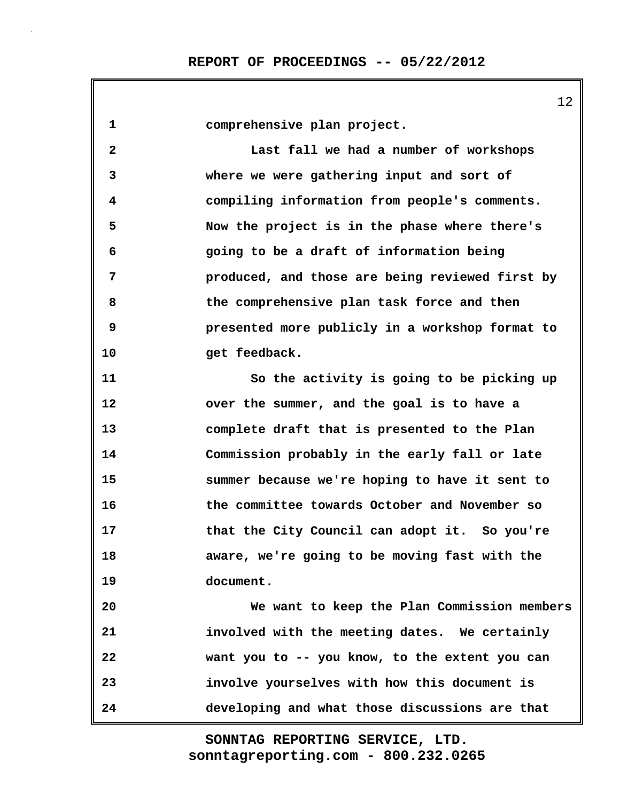**1 comprehensive plan project. 2 Last fall we had a number of workshops 3 where we were gathering input and sort of 4 compiling information from people's comments. 5 Now the project is in the phase where there's 6 going to be a draft of information being 7 produced, and those are being reviewed first by 8 the comprehensive plan task force and then 9 presented more publicly in a workshop format to** 10 get feedback. **11 So the activity is going to be picking up 12 over the summer, and the goal is to have a 13 complete draft that is presented to the Plan 14 Commission probably in the early fall or late 15 summer because we're hoping to have it sent to 16 the committee towards October and November so 17 that the City Council can adopt it. So you're 18 aware, we're going to be moving fast with the 19 document. 20 We want to keep the Plan Commission members 21 involved with the meeting dates. We certainly 22 want you to -- you know, to the extent you can 23 involve yourselves with how this document is 24 developing and what those discussions are that**

> **sonntagreporting.com - 800.232.0265 SONNTAG REPORTING SERVICE, LTD.**

12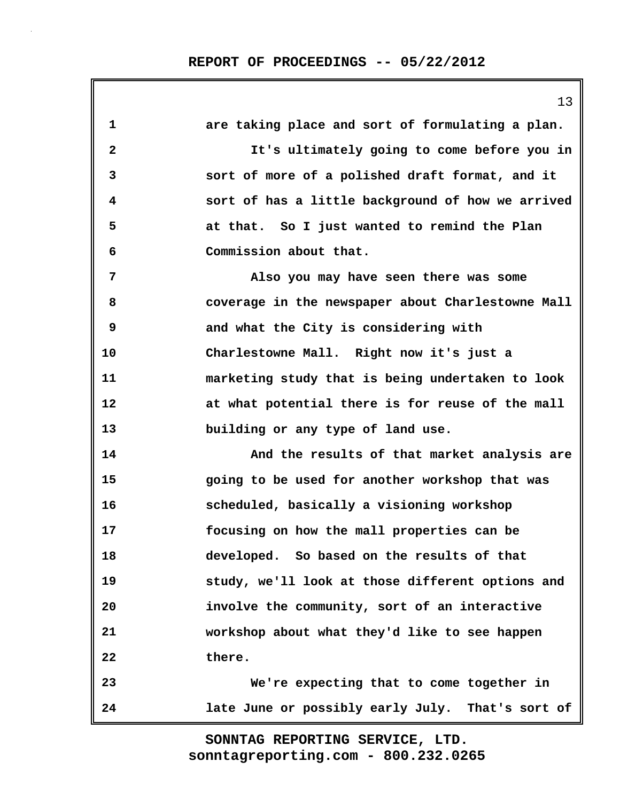|              | 13                                                |
|--------------|---------------------------------------------------|
| $\mathbf{1}$ | are taking place and sort of formulating a plan.  |
| $\mathbf{2}$ | It's ultimately going to come before you in       |
| 3            | sort of more of a polished draft format, and it   |
| 4            | sort of has a little background of how we arrived |
| 5            | at that. So I just wanted to remind the Plan      |
| 6            | Commission about that.                            |
| 7            | Also you may have seen there was some             |
| 8            | coverage in the newspaper about Charlestowne Mall |
| 9            | and what the City is considering with             |
| 10           | Charlestowne Mall. Right now it's just a          |
| 11           | marketing study that is being undertaken to look  |
| 12           | at what potential there is for reuse of the mall  |
| 13           | building or any type of land use.                 |
| 14           | And the results of that market analysis are       |
| 15           | going to be used for another workshop that was    |
| 16           | scheduled, basically a visioning workshop         |
| 17           | focusing on how the mall properties can be        |
| 18           | developed. So based on the results of that        |
| 19           | study, we'll look at those different options and  |
| 20           | involve the community, sort of an interactive     |
| 21           | workshop about what they'd like to see happen     |
| 22           | there.                                            |
| 23           | We're expecting that to come together in          |
| 24           | late June or possibly early July. That's sort of  |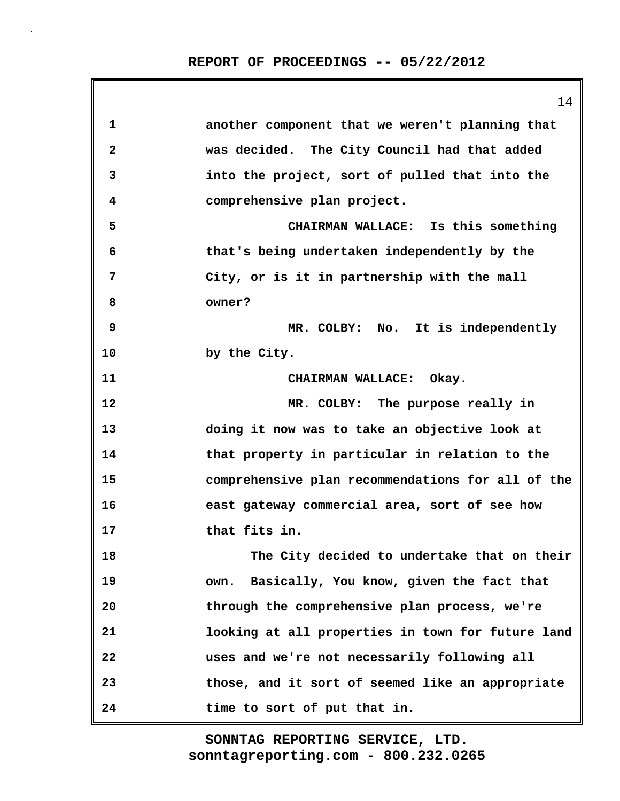|              | 14                                                |
|--------------|---------------------------------------------------|
| 1            | another component that we weren't planning that   |
| $\mathbf{2}$ | was decided. The City Council had that added      |
| 3            | into the project, sort of pulled that into the    |
| 4            | comprehensive plan project.                       |
| 5            | CHAIRMAN WALLACE: Is this something               |
| 6            | that's being undertaken independently by the      |
| 7            | City, or is it in partnership with the mall       |
| 8            | owner?                                            |
| 9            | MR. COLBY: No. It is independently                |
| 10           | by the City.                                      |
| 11           | CHAIRMAN WALLACE: Okay.                           |
| 12           | MR. COLBY: The purpose really in                  |
| 13           | doing it now was to take an objective look at     |
| 14           | that property in particular in relation to the    |
| 15           | comprehensive plan recommendations for all of the |
| 16           | east gateway commercial area, sort of see how     |
| 17           | that fits in.                                     |
| 18           | The City decided to undertake that on their       |
| 19           | Basically, You know, given the fact that<br>own.  |
| 20           | through the comprehensive plan process, we're     |
| 21           | looking at all properties in town for future land |
| 22           | uses and we're not necessarily following all      |
| 23           | those, and it sort of seemed like an appropriate  |
| 24           | time to sort of put that in.                      |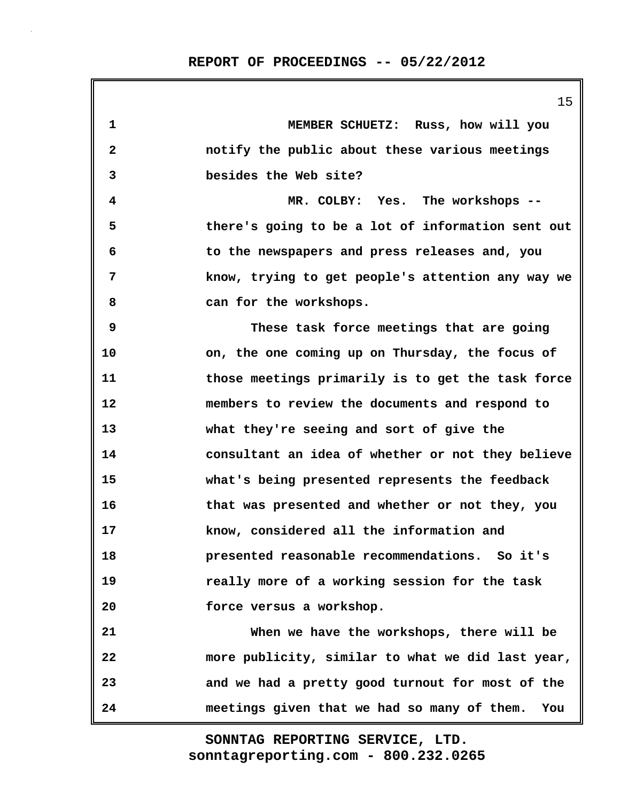|              | 15                                                 |
|--------------|----------------------------------------------------|
| 1            | MEMBER SCHUETZ: Russ, how will you                 |
| $\mathbf{2}$ | notify the public about these various meetings     |
| 3            | besides the Web site?                              |
| 4            | MR. COLBY: Yes. The workshops --                   |
| 5            | there's going to be a lot of information sent out  |
| 6            | to the newspapers and press releases and, you      |
| 7            | know, trying to get people's attention any way we  |
| 8            | can for the workshops.                             |
| 9            | These task force meetings that are going           |
| 10           | on, the one coming up on Thursday, the focus of    |
| 11           | those meetings primarily is to get the task force  |
| 12           | members to review the documents and respond to     |
| 13           | what they're seeing and sort of give the           |
| 14           | consultant an idea of whether or not they believe  |
| 15           | what's being presented represents the feedback     |
| 16           | that was presented and whether or not they, you    |
| 17           | know, considered all the information and           |
| 18           | presented reasonable recommendations. So it's      |
| 19           | really more of a working session for the task      |
| 20           | force versus a workshop.                           |
| 21           | When we have the workshops, there will be          |
| 22           | more publicity, similar to what we did last year,  |
| 23           | and we had a pretty good turnout for most of the   |
| 24           | meetings given that we had so many of them.<br>You |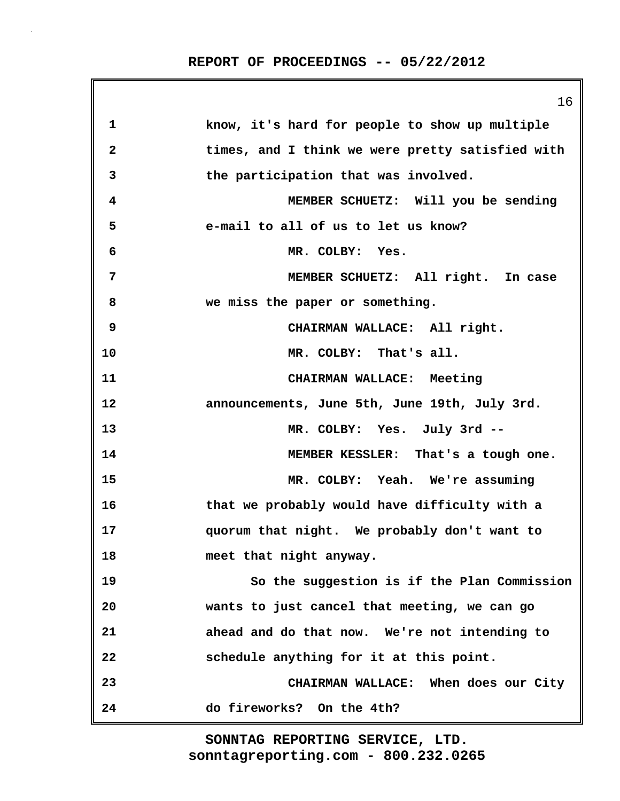|              | 16                                               |
|--------------|--------------------------------------------------|
| 1            | know, it's hard for people to show up multiple   |
| $\mathbf{2}$ | times, and I think we were pretty satisfied with |
| 3            | the participation that was involved.             |
| 4            | MEMBER SCHUETZ: Will you be sending              |
| 5            | e-mail to all of us to let us know?              |
| 6            | MR. COLBY: Yes.                                  |
| 7            | MEMBER SCHUETZ: All right. In case               |
| 8            | we miss the paper or something.                  |
| 9            | CHAIRMAN WALLACE: All right.                     |
| 10           | MR. COLBY: That's all.                           |
| 11           | CHAIRMAN WALLACE: Meeting                        |
| 12           | announcements, June 5th, June 19th, July 3rd.    |
| 13           | MR. COLBY: Yes. July 3rd --                      |
| 14           | MEMBER KESSLER: That's a tough one.              |
| 15           | MR. COLBY: Yeah. We're assuming                  |
| 16           | that we probably would have difficulty with a    |
| 17           | quorum that night. We probably don't want to     |
| 18           | meet that night anyway.                          |
| 19           | So the suggestion is if the Plan Commission      |
| 20           | wants to just cancel that meeting, we can go     |
| 21           | ahead and do that now. We're not intending to    |
| 22           | schedule anything for it at this point.          |
| 23           | CHAIRMAN WALLACE: When does our City             |
| 24           | do fireworks? On the 4th?                        |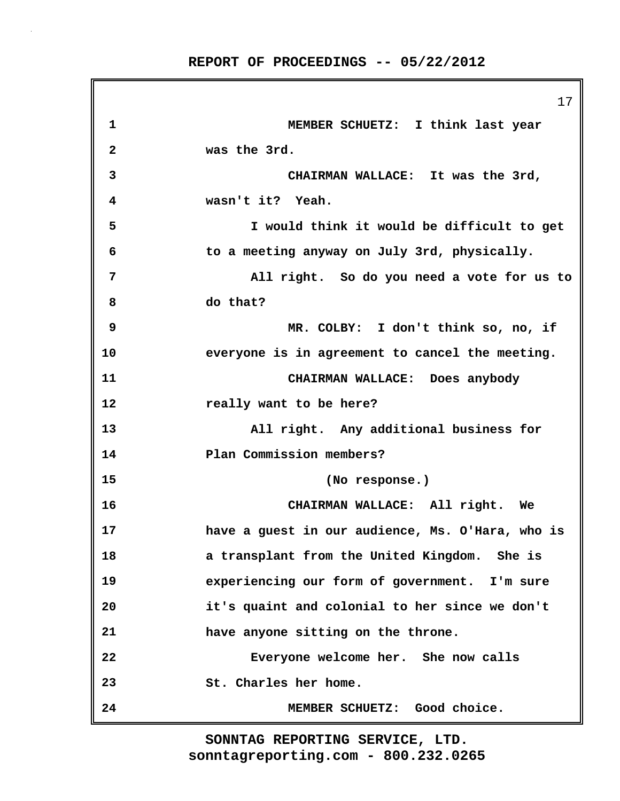|              | 17                                               |
|--------------|--------------------------------------------------|
| 1            | MEMBER SCHUETZ: I think last year                |
| $\mathbf{2}$ | was the 3rd.                                     |
| 3            | CHAIRMAN WALLACE: It was the 3rd,                |
| 4            | wasn't it? Yeah.                                 |
| 5            | I would think it would be difficult to get       |
| 6            | to a meeting anyway on July 3rd, physically.     |
| 7            | All right. So do you need a vote for us to       |
| 8            | do that?                                         |
| 9            | MR. COLBY: I don't think so, no, if              |
| 10           | everyone is in agreement to cancel the meeting.  |
| 11           | CHAIRMAN WALLACE: Does anybody                   |
| 12           | really want to be here?                          |
| 13           | All right. Any additional business for           |
| 14           | Plan Commission members?                         |
| 15           | (No response.)                                   |
| 16           | CHAIRMAN WALLACE: All right. We                  |
| 17           | have a guest in our audience, Ms. O'Hara, who is |
| 18           | a transplant from the United Kingdom. She is     |
| 19           | experiencing our form of government. I'm sure    |
| 20           | it's quaint and colonial to her since we don't   |
| 21           | have anyone sitting on the throne.               |
| 22           | Everyone welcome her. She now calls              |
| 23           | St. Charles her home.                            |
| 24           | MEMBER SCHUETZ: Good choice.                     |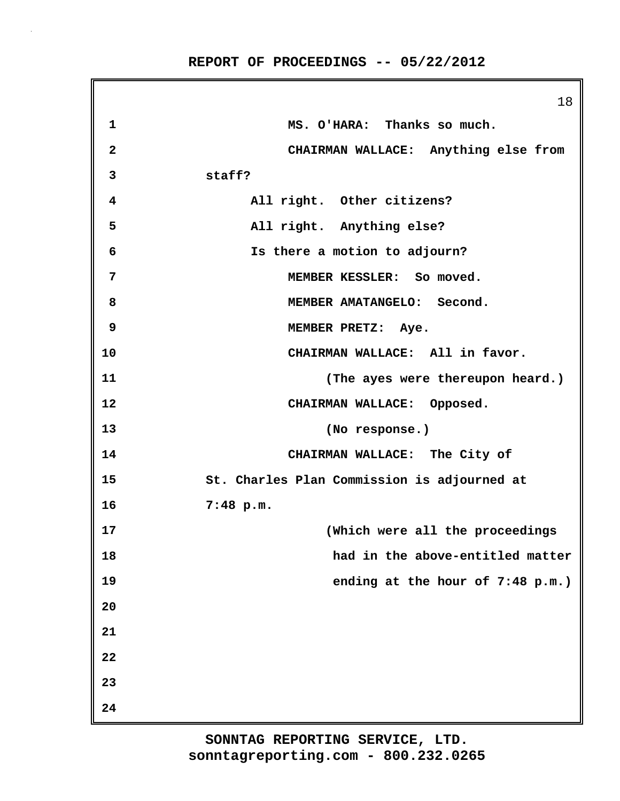|                | 18                                          |
|----------------|---------------------------------------------|
| $\mathbf{1}$   | MS. O'HARA: Thanks so much.                 |
| $\overline{a}$ | CHAIRMAN WALLACE: Anything else from        |
| 3              | staff?                                      |
| 4              | All right. Other citizens?                  |
| 5              | All right. Anything else?                   |
| 6              | Is there a motion to adjourn?               |
| 7              | MEMBER KESSLER: So moved.                   |
| 8              | MEMBER AMATANGELO: Second.                  |
| 9              | MEMBER PRETZ: Aye.                          |
| 10             | CHAIRMAN WALLACE: All in favor.             |
| 11             | (The ayes were thereupon heard.)            |
| 12             | CHAIRMAN WALLACE: Opposed.                  |
| 13             | (No response.)                              |
| 14             | CHAIRMAN WALLACE: The City of               |
| 15             | St. Charles Plan Commission is adjourned at |
| 16             | 7:48 p.m.                                   |
| 17             | (Which were all the proceedings             |
| 18             | had in the above-entitled matter            |
| 19             | ending at the hour of $7:48$ p.m.)          |
| 20             |                                             |
| 21             |                                             |
| 22             |                                             |
| 23             |                                             |
| 24             |                                             |